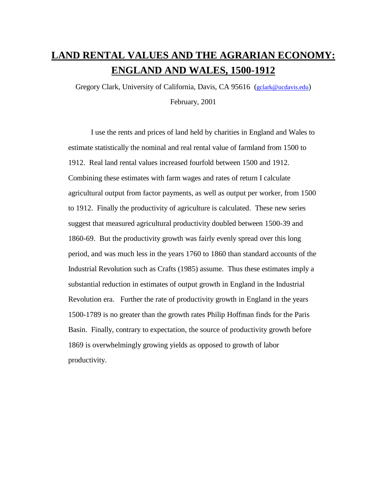# **LAND RENTAL VALUES AND THE AGRARIAN ECONOMY: ENGLAND AND WALES, 1500-1912**

Gregory Clark, University of California, Davis, CA 95616 (gclark@ucdavis.edu) February, 2001

I use the rents and prices of land held by charities in England and Wales to estimate statistically the nominal and real rental value of farmland from 1500 to 1912. Real land rental values increased fourfold between 1500 and 1912. Combining these estimates with farm wages and rates of return I calculate agricultural output from factor payments, as well as output per worker, from 1500 to 1912. Finally the productivity of agriculture is calculated. These new series suggest that measured agricultural productivity doubled between 1500-39 and 1860-69. But the productivity growth was fairly evenly spread over this long period, and was much less in the years 1760 to 1860 than standard accounts of the Industrial Revolution such as Crafts (1985) assume. Thus these estimates imply a substantial reduction in estimates of output growth in England in the Industrial Revolution era. Further the rate of productivity growth in England in the years 1500-1789 is no greater than the growth rates Philip Hoffman finds for the Paris Basin. Finally, contrary to expectation, the source of productivity growth before 1869 is overwhelmingly growing yields as opposed to growth of labor productivity.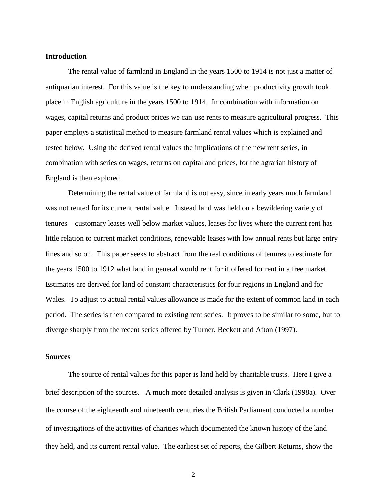#### **Introduction**

The rental value of farmland in England in the years 1500 to 1914 is not just a matter of antiquarian interest. For this value is the key to understanding when productivity growth took place in English agriculture in the years 1500 to 1914. In combination with information on wages, capital returns and product prices we can use rents to measure agricultural progress. This paper employs a statistical method to measure farmland rental values which is explained and tested below. Using the derived rental values the implications of the new rent series, in combination with series on wages, returns on capital and prices, for the agrarian history of England is then explored.

Determining the rental value of farmland is not easy, since in early years much farmland was not rented for its current rental value. Instead land was held on a bewildering variety of tenures – customary leases well below market values, leases for lives where the current rent has little relation to current market conditions, renewable leases with low annual rents but large entry fines and so on. This paper seeks to abstract from the real conditions of tenures to estimate for the years 1500 to 1912 what land in general would rent for if offered for rent in a free market. Estimates are derived for land of constant characteristics for four regions in England and for Wales. To adjust to actual rental values allowance is made for the extent of common land in each period. The series is then compared to existing rent series. It proves to be similar to some, but to diverge sharply from the recent series offered by Turner, Beckett and Afton (1997).

#### **Sources**

The source of rental values for this paper is land held by charitable trusts. Here I give a brief description of the sources. A much more detailed analysis is given in Clark (1998a). Over the course of the eighteenth and nineteenth centuries the British Parliament conducted a number of investigations of the activities of charities which documented the known history of the land they held, and its current rental value. The earliest set of reports, the Gilbert Returns, show the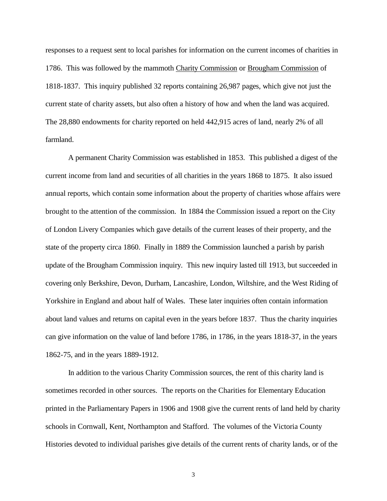responses to a request sent to local parishes for information on the current incomes of charities in 1786. This was followed by the mammoth Charity Commission or Brougham Commission of 1818-1837. This inquiry published 32 reports containing 26,987 pages, which give not just the current state of charity assets, but also often a history of how and when the land was acquired. The 28,880 endowments for charity reported on held 442,915 acres of land, nearly 2% of all farmland.

A permanent Charity Commission was established in 1853. This published a digest of the current income from land and securities of all charities in the years 1868 to 1875. It also issued annual reports, which contain some information about the property of charities whose affairs were brought to the attention of the commission. In 1884 the Commission issued a report on the City of London Livery Companies which gave details of the current leases of their property, and the state of the property circa 1860. Finally in 1889 the Commission launched a parish by parish update of the Brougham Commission inquiry. This new inquiry lasted till 1913, but succeeded in covering only Berkshire, Devon, Durham, Lancashire, London, Wiltshire, and the West Riding of Yorkshire in England and about half of Wales. These later inquiries often contain information about land values and returns on capital even in the years before 1837. Thus the charity inquiries can give information on the value of land before 1786, in 1786, in the years 1818-37, in the years 1862-75, and in the years 1889-1912.

In addition to the various Charity Commission sources, the rent of this charity land is sometimes recorded in other sources. The reports on the Charities for Elementary Education printed in the Parliamentary Papers in 1906 and 1908 give the current rents of land held by charity schools in Cornwall, Kent, Northampton and Stafford. The volumes of the Victoria County Histories devoted to individual parishes give details of the current rents of charity lands, or of the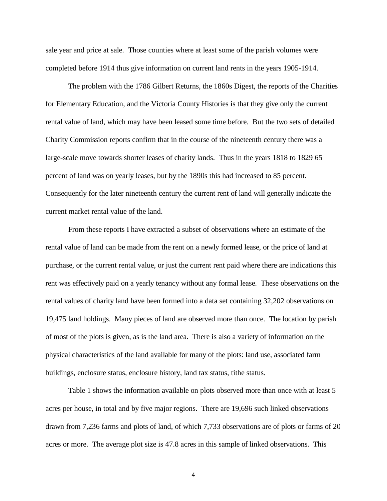sale year and price at sale. Those counties where at least some of the parish volumes were completed before 1914 thus give information on current land rents in the years 1905-1914.

The problem with the 1786 Gilbert Returns, the 1860s Digest, the reports of the Charities for Elementary Education, and the Victoria County Histories is that they give only the current rental value of land, which may have been leased some time before. But the two sets of detailed Charity Commission reports confirm that in the course of the nineteenth century there was a large-scale move towards shorter leases of charity lands. Thus in the years 1818 to 1829 65 percent of land was on yearly leases, but by the 1890s this had increased to 85 percent. Consequently for the later nineteenth century the current rent of land will generally indicate the current market rental value of the land.

From these reports I have extracted a subset of observations where an estimate of the rental value of land can be made from the rent on a newly formed lease, or the price of land at purchase, or the current rental value, or just the current rent paid where there are indications this rent was effectively paid on a yearly tenancy without any formal lease. These observations on the rental values of charity land have been formed into a data set containing 32,202 observations on 19,475 land holdings. Many pieces of land are observed more than once. The location by parish of most of the plots is given, as is the land area. There is also a variety of information on the physical characteristics of the land available for many of the plots: land use, associated farm buildings, enclosure status, enclosure history, land tax status, tithe status.

Table 1 shows the information available on plots observed more than once with at least 5 acres per house, in total and by five major regions. There are 19,696 such linked observations drawn from 7,236 farms and plots of land, of which 7,733 observations are of plots or farms of 20 acres or more. The average plot size is 47.8 acres in this sample of linked observations. This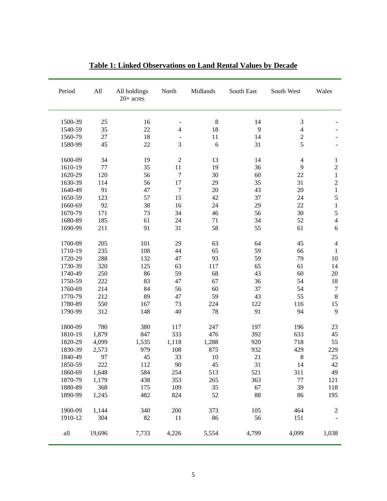| Period  | All    | All holdings<br>$20+$ acres | North                    | Midlands | South East | South West     | Wales          |
|---------|--------|-----------------------------|--------------------------|----------|------------|----------------|----------------|
| 1500-39 | 25     | 16                          | $\overline{\phantom{a}}$ | $\,8\,$  | 14         | $\mathfrak{Z}$ |                |
| 1540-59 | 35     | 22                          | $\overline{\mathbf{4}}$  | 18       | 9          | $\overline{4}$ |                |
| 1560-79 | 27     | 18                          |                          | 11       | 14         | $\sqrt{2}$     |                |
| 1580-99 | 45     | 22                          | 3                        | 6        | 31         | 5              |                |
| 1600-09 | 34     | 19                          | $\overline{2}$           | 13       | 14         | $\overline{4}$ | $\mathbf{1}$   |
| 1610-19 | 77     | 35                          | 11                       | 19       | 36         | 9              | $\overline{c}$ |
| 1620-29 | 120    | 56                          | $\tau$                   | 30       | 60         | 22             | $\mathbf{1}$   |
| 1630-39 | 114    | 56                          | 17                       | 29       | 35         | 31             | $\overline{c}$ |
| 1640-49 | 91     | 47                          | $\tau$                   | 20       | 43         | 20             | $\,1$          |
| 1650-59 | 123    | 57                          | 15                       | 42       | 37         | 24             | 5              |
| 1660-69 | 92     | 38                          | 16                       | 24       | 29         | 22             | $\,1$          |
| 1670-79 | 171    | 73                          | 34                       | 46       | 56         | 30             | 5              |
| 1680-89 | 185    | 61                          | 24                       | 71       | 34         | 52             | $\overline{4}$ |
| 1690-99 | 211    | 91                          | 31                       | 58       | 55         | 61             | 6              |
| 1700-09 | 205    | 101                         | 29                       | 63       | 64         | 45             | $\overline{4}$ |
| 1710-19 | 235    | 108                         | 44                       | 65       | 59         | 66             | $\mathbf{1}$   |
| 1720-29 | 288    | 132                         | 47                       | 93       | 59         | 79             | 10             |
| 1730-39 | 320    | 125                         | 63                       | 117      | 65         | 61             | 14             |
| 1740-49 | 250    | 86                          | 59                       | 68       | 43         | 60             | 20             |
| 1750-59 | 222    | 83                          | 47                       | 67       | 36         | 54             | 18             |
| 1760-69 | 214    | 84                          | 56                       | 60       | 37         | 54             | $\tau$         |
| 1770-79 | 212    | 89                          | 47                       | 59       | 43         | 55             | $8\,$          |
| 1780-89 | 550    | 167                         | 73                       | 224      | 122        | 116            | 15             |
| 1790-99 | 312    | 148                         | 40                       | 78       | 91         | 94             | 9              |
| 1800-09 | 780    | 380                         | 117                      | 247      | 197        | 196            | 23             |
| 1810-19 | 1,879  | 847                         | 333                      | 476      | 392        | 633            | 45             |
| 1820-29 | 4,099  | 1,535                       | 1,118                    | 1,288    | 920        | 718            | 55             |
| 1830-39 | 2,573  | 979                         | 108                      | 875      | 932        | 429            | 229            |
| 1840-49 | 97     | 45                          | 33                       | 10       | 21         | $8\,$          | 25             |
| 1850-59 | 222    | 112                         | 90                       | 45       | 31         | 14             | 42             |
| 1860-69 | 1,648  | 584                         | 254                      | 513      | 521        | 311            | 49             |
| 1870-79 | 1,179  | 438                         | 353                      | 265      | 363        | 77             | 121            |
| 1880-89 | 368    | 175                         | 109                      | 35       | 67         | 39             | 118            |
| 1890-99 | 1,245  | 482                         | 824                      | 52       | 88         | 86             | 195            |
| 1900-09 | 1,144  | 340                         | 200                      | 373      | 105        | 464            | 2              |
| 1910-12 | 304    | 82                          | 11                       | 86       | 56         | 151            |                |
| all     | 19,696 | 7,733                       | 4,226                    | 5,554    | 4,799      | 4,099          | 1,038          |

### **Table 1: Linked Observations on Land Rental Values by Decade**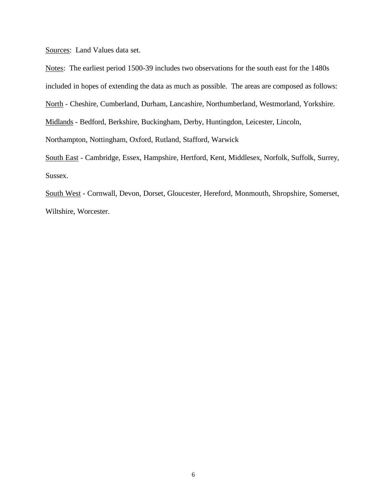Sources: Land Values data set.

Notes: The earliest period 1500-39 includes two observations for the south east for the 1480s included in hopes of extending the data as much as possible. The areas are composed as follows: North - Cheshire, Cumberland, Durham, Lancashire, Northumberland, Westmorland, Yorkshire. Midlands - Bedford, Berkshire, Buckingham, Derby, Huntingdon, Leicester, Lincoln, Northampton, Nottingham, Oxford, Rutland, Stafford, Warwick South East - Cambridge, Essex, Hampshire, Hertford, Kent, Middlesex, Norfolk, Suffolk, Surrey, Sussex.

South West - Cornwall, Devon, Dorset, Gloucester, Hereford, Monmouth, Shropshire, Somerset, Wiltshire, Worcester.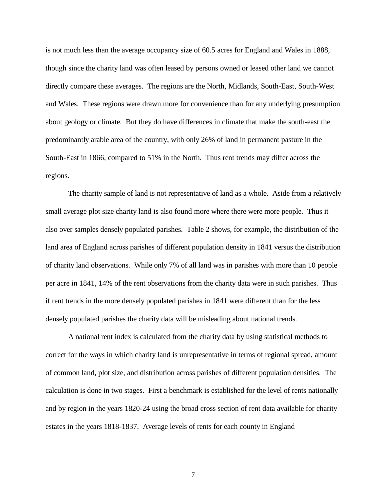is not much less than the average occupancy size of 60.5 acres for England and Wales in 1888, though since the charity land was often leased by persons owned or leased other land we cannot directly compare these averages. The regions are the North, Midlands, South-East, South-West and Wales. These regions were drawn more for convenience than for any underlying presumption about geology or climate. But they do have differences in climate that make the south-east the predominantly arable area of the country, with only 26% of land in permanent pasture in the South-East in 1866, compared to 51% in the North. Thus rent trends may differ across the regions.

The charity sample of land is not representative of land as a whole. Aside from a relatively small average plot size charity land is also found more where there were more people. Thus it also over samples densely populated parishes. Table 2 shows, for example, the distribution of the land area of England across parishes of different population density in 1841 versus the distribution of charity land observations. While only 7% of all land was in parishes with more than 10 people per acre in 1841, 14% of the rent observations from the charity data were in such parishes. Thus if rent trends in the more densely populated parishes in 1841 were different than for the less densely populated parishes the charity data will be misleading about national trends.

A national rent index is calculated from the charity data by using statistical methods to correct for the ways in which charity land is unrepresentative in terms of regional spread, amount of common land, plot size, and distribution across parishes of different population densities. The calculation is done in two stages. First a benchmark is established for the level of rents nationally and by region in the years 1820-24 using the broad cross section of rent data available for charity estates in the years 1818-1837. Average levels of rents for each county in England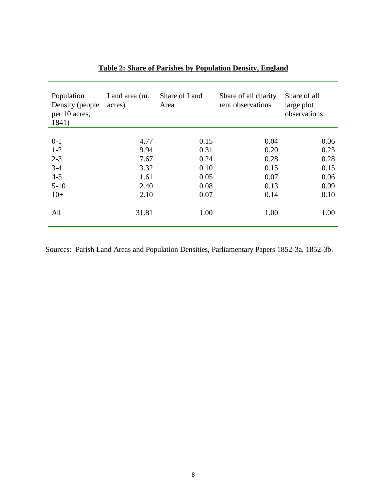| Population<br>Density (people)<br>per 10 acres,<br>1841) | Land area (m.<br>acres) | Share of Land<br>Area | Share of all charity<br>rent observations | Share of all<br>large plot<br>observations |
|----------------------------------------------------------|-------------------------|-----------------------|-------------------------------------------|--------------------------------------------|
|                                                          |                         |                       |                                           |                                            |
| $0-1$                                                    | 4.77                    | 0.15                  | 0.04                                      | 0.06                                       |
| $1 - 2$                                                  | 9.94                    | 0.31                  | 0.20                                      | 0.25                                       |
| $2 - 3$                                                  | 7.67                    | 0.24                  | 0.28                                      | 0.28                                       |
| $3 - 4$                                                  | 3.32                    | 0.10                  | 0.15                                      | 0.15                                       |
| $4 - 5$                                                  | 1.61                    | 0.05                  | 0.07                                      | 0.06                                       |
| $5 - 10$                                                 | 2.40                    | 0.08                  | 0.13                                      | 0.09                                       |
| $10+$                                                    | 2.10                    | 0.07                  | 0.14                                      | 0.10                                       |
| All                                                      | 31.81                   | 1.00                  | 1.00                                      | 1.00                                       |

# **Table 2: Share of Parishes by Population Density, England**

Sources: Parish Land Areas and Population Densities, Parliamentary Papers 1852-3a, 1852-3b.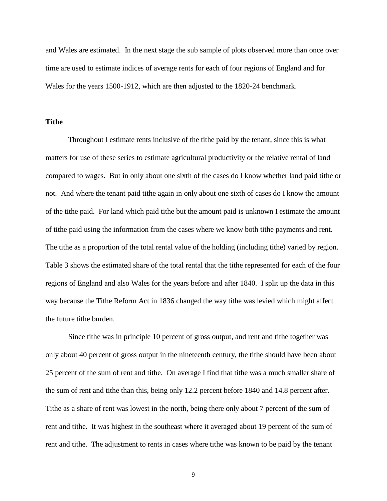and Wales are estimated. In the next stage the sub sample of plots observed more than once over time are used to estimate indices of average rents for each of four regions of England and for Wales for the years 1500-1912, which are then adjusted to the 1820-24 benchmark.

#### **Tithe**

Throughout I estimate rents inclusive of the tithe paid by the tenant, since this is what matters for use of these series to estimate agricultural productivity or the relative rental of land compared to wages. But in only about one sixth of the cases do I know whether land paid tithe or not. And where the tenant paid tithe again in only about one sixth of cases do I know the amount of the tithe paid. For land which paid tithe but the amount paid is unknown I estimate the amount of tithe paid using the information from the cases where we know both tithe payments and rent. The tithe as a proportion of the total rental value of the holding (including tithe) varied by region. Table 3 shows the estimated share of the total rental that the tithe represented for each of the four regions of England and also Wales for the years before and after 1840. I split up the data in this way because the Tithe Reform Act in 1836 changed the way tithe was levied which might affect the future tithe burden.

Since tithe was in principle 10 percent of gross output, and rent and tithe together was only about 40 percent of gross output in the nineteenth century, the tithe should have been about 25 percent of the sum of rent and tithe. On average I find that tithe was a much smaller share of the sum of rent and tithe than this, being only 12.2 percent before 1840 and 14.8 percent after. Tithe as a share of rent was lowest in the north, being there only about 7 percent of the sum of rent and tithe. It was highest in the southeast where it averaged about 19 percent of the sum of rent and tithe. The adjustment to rents in cases where tithe was known to be paid by the tenant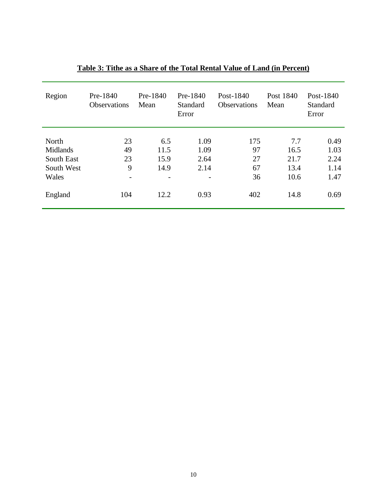| Region                                                 | Pre-1840<br><b>Observations</b>                 | Pre-1840<br>Mean            | Pre-1840<br>Standard<br>Error | Post-1840<br><b>Observations</b> | Post 1840<br>Mean                   | Post-1840<br>Standard<br>Error       |
|--------------------------------------------------------|-------------------------------------------------|-----------------------------|-------------------------------|----------------------------------|-------------------------------------|--------------------------------------|
| North<br>Midlands<br>South East<br>South West<br>Wales | 23<br>49<br>23<br>9<br>$\overline{\phantom{0}}$ | 6.5<br>11.5<br>15.9<br>14.9 | 1.09<br>1.09<br>2.64<br>2.14  | 175<br>97<br>27<br>67<br>36      | 7.7<br>16.5<br>21.7<br>13.4<br>10.6 | 0.49<br>1.03<br>2.24<br>1.14<br>1.47 |
| England                                                | 104                                             | 12.2                        | 0.93                          | 402                              | 14.8                                | 0.69                                 |

## **Table 3: Tithe as a Share of the Total Rental Value of Land (in Percent)**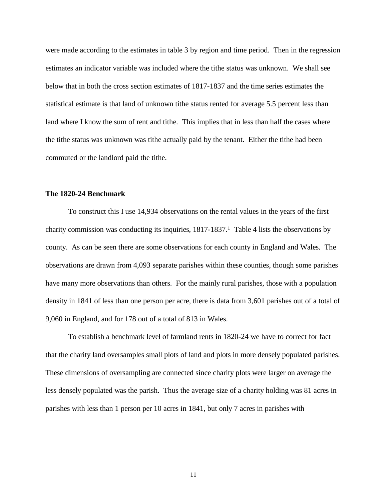were made according to the estimates in table 3 by region and time period. Then in the regression estimates an indicator variable was included where the tithe status was unknown. We shall see below that in both the cross section estimates of 1817-1837 and the time series estimates the statistical estimate is that land of unknown tithe status rented for average 5.5 percent less than land where I know the sum of rent and tithe. This implies that in less than half the cases where the tithe status was unknown was tithe actually paid by the tenant. Either the tithe had been commuted or the landlord paid the tithe.

#### **The 1820-24 Benchmark**

To construct this I use 14,934 observations on the rental values in the years of the first charity commission was conducting its inquiries, 1817-1837.<sup>1</sup> Table 4 lists the observations by county. As can be seen there are some observations for each county in England and Wales. The observations are drawn from 4,093 separate parishes within these counties, though some parishes have many more observations than others. For the mainly rural parishes, those with a population density in 1841 of less than one person per acre, there is data from 3,601 parishes out of a total of 9,060 in England, and for 178 out of a total of 813 in Wales.

To establish a benchmark level of farmland rents in 1820-24 we have to correct for fact that the charity land oversamples small plots of land and plots in more densely populated parishes. These dimensions of oversampling are connected since charity plots were larger on average the less densely populated was the parish. Thus the average size of a charity holding was 81 acres in parishes with less than 1 person per 10 acres in 1841, but only 7 acres in parishes with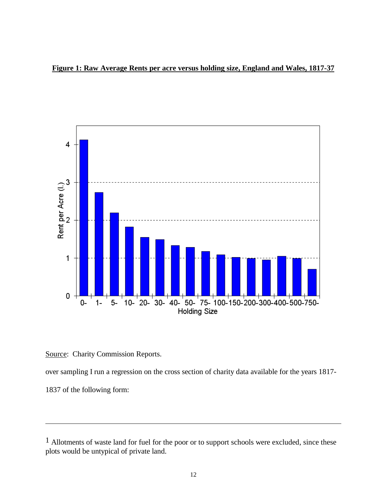



Source: Charity Commission Reports.

over sampling I run a regression on the cross section of charity data available for the years 1817-

1837 of the following form:

 $\overline{a}$ 

<sup>&</sup>lt;sup>1</sup> Allotments of waste land for fuel for the poor or to support schools were excluded, since these plots would be untypical of private land.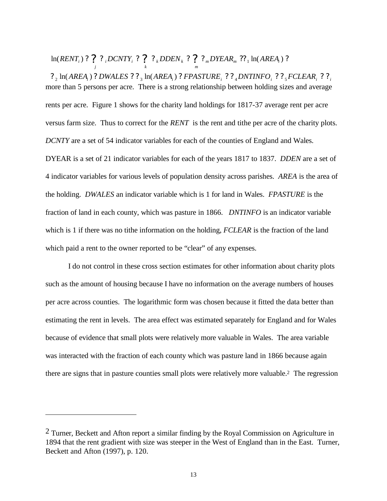*i*  $m$ *DILAN* $m$  $i \cdot k$  *kDDLI* $\mathbf{r}_k$  $\ln(RENT_i)$ ? ? ? *pCNTY*<sub>*i*</sub> ? ? ? *pDEN*<sub>k</sub>? ? ? *nDYEAR*<sub>*m*</sub> ??<sub>1</sub>  $\ln(AREA_i)$ ?

*k*

*j*

more than 5 persons per acre. There is a strong relationship between holding sizes and average rents per acre. Figure 1 shows for the charity land holdings for 1817-37 average rent per acre versus farm size. Thus to correct for the *RENT* is the rent and tithe per acre of the charity plots. *DCNTY* are a set of 54 indicator variables for each of the counties of England and Wales. DYEAR is a set of 21 indicator variables for each of the years 1817 to 1837. *DDEN* are a set of 4 indicator variables for various levels of population density across parishes. *AREA* is the area of the holding. *DWALES* an indicator variable which is 1 for land in Wales. *FPASTURE* is the fraction of land in each county, which was pasture in 1866. *DNTINFO* is an indicator variable which is 1 if there was no tithe information on the holding, *FCLEAR* is the fraction of the land which paid a rent to the owner reported to be "clear" of any expenses.  $2^{n}$   $\ln(AREA_{i})$  ? DWALES ?  $2^{n}$ <sub>3</sub>  $\ln(AREA_{i})$  ? FPASTURE<sub>i</sub> ?  $2^{n}$ <sub>4</sub> DNTINFO<sub>i</sub> ?  $2^{n}$ <sub>5</sub> FCLEAR<sub>i</sub> ?  $2^{n}$ <sub>i</sub>

*m*

I do not control in these cross section estimates for other information about charity plots such as the amount of housing because I have no information on the average numbers of houses per acre across counties. The logarithmic form was chosen because it fitted the data better than estimating the rent in levels. The area effect was estimated separately for England and for Wales because of evidence that small plots were relatively more valuable in Wales. The area variable was interacted with the fraction of each county which was pasture land in 1866 because again there are signs that in pasture counties small plots were relatively more valuable.<sup>2</sup> The regression

 $\overline{a}$ 

 $<sup>2</sup>$  Turner, Beckett and Afton report a similar finding by the Royal Commission on Agriculture in</sup> 1894 that the rent gradient with size was steeper in the West of England than in the East. Turner, Beckett and Afton (1997), p. 120.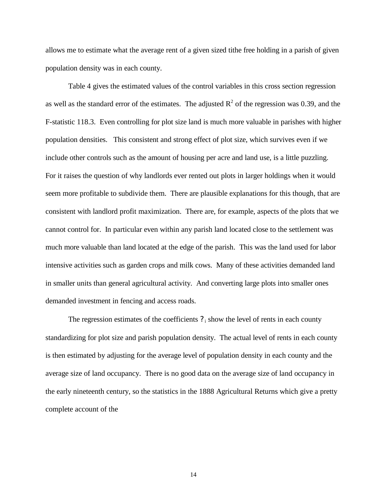allows me to estimate what the average rent of a given sized tithe free holding in a parish of given population density was in each county.

Table 4 gives the estimated values of the control variables in this cross section regression as well as the standard error of the estimates. The adjusted  $R^2$  of the regression was 0.39, and the F-statistic 118.3. Even controlling for plot size land is much more valuable in parishes with higher population densities. This consistent and strong effect of plot size, which survives even if we include other controls such as the amount of housing per acre and land use, is a little puzzling. For it raises the question of why landlords ever rented out plots in larger holdings when it would seem more profitable to subdivide them. There are plausible explanations for this though, that are consistent with landlord profit maximization. There are, for example, aspects of the plots that we cannot control for. In particular even within any parish land located close to the settlement was much more valuable than land located at the edge of the parish. This was the land used for labor intensive activities such as garden crops and milk cows. Many of these activities demanded land in smaller units than general agricultural activity. And converting large plots into smaller ones demanded investment in fencing and access roads.

The regression estimates of the coefficients  $?$  is show the level of rents in each county standardizing for plot size and parish population density. The actual level of rents in each county is then estimated by adjusting for the average level of population density in each county and the average size of land occupancy. There is no good data on the average size of land occupancy in the early nineteenth century, so the statistics in the 1888 Agricultural Returns which give a pretty complete account of the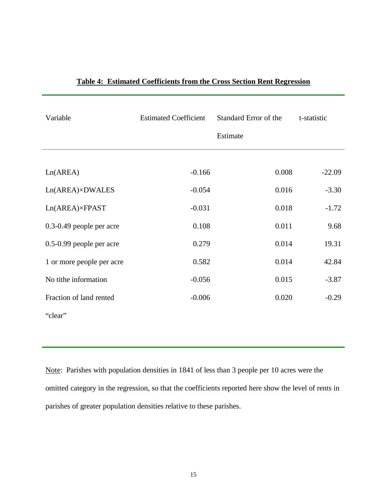| Variable                  | <b>Estimated Coefficient</b> | Standard Error of the | t-statistic |
|---------------------------|------------------------------|-----------------------|-------------|
|                           |                              | Estimate              |             |
|                           |                              |                       |             |
| Ln(AREA)                  | $-0.166$                     | 0.008                 | $-22.09$    |
| Ln(AREA)×DWALES           | $-0.054$                     | 0.016                 | $-3.30$     |
| Ln(AREA)×FPAST            | $-0.031$                     | 0.018                 | $-1.72$     |
| 0.3-0.49 people per acre  | 0.108                        | 0.011                 | 9.68        |
| 0.5-0.99 people per acre  | 0.279                        | 0.014                 | 19.31       |
| 1 or more people per acre | 0.582                        | 0.014                 | 42.84       |
| No tithe information      | $-0.056$                     | 0.015                 | $-3.87$     |
| Fraction of land rented   | $-0.006$                     | 0.020                 | $-0.29$     |
| "clear"                   |                              |                       |             |
|                           |                              |                       |             |

### **Table 4: Estimated Coefficients from the Cross Section Rent Regression**

Note: Parishes with population densities in 1841 of less than 3 people per 10 acres were the omitted category in the regression, so that the coefficients reported here show the level of rents in parishes of greater population densities relative to these parishes.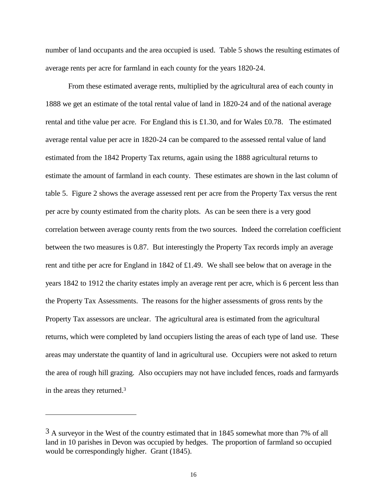number of land occupants and the area occupied is used. Table 5 shows the resulting estimates of average rents per acre for farmland in each county for the years 1820-24.

From these estimated average rents, multiplied by the agricultural area of each county in 1888 we get an estimate of the total rental value of land in 1820-24 and of the national average rental and tithe value per acre. For England this is £1.30, and for Wales £0.78. The estimated average rental value per acre in 1820-24 can be compared to the assessed rental value of land estimated from the 1842 Property Tax returns, again using the 1888 agricultural returns to estimate the amount of farmland in each county. These estimates are shown in the last column of table 5. Figure 2 shows the average assessed rent per acre from the Property Tax versus the rent per acre by county estimated from the charity plots. As can be seen there is a very good correlation between average county rents from the two sources. Indeed the correlation coefficient between the two measures is 0.87. But interestingly the Property Tax records imply an average rent and tithe per acre for England in 1842 of £1.49. We shall see below that on average in the years 1842 to 1912 the charity estates imply an average rent per acre, which is 6 percent less than the Property Tax Assessments. The reasons for the higher assessments of gross rents by the Property Tax assessors are unclear. The agricultural area is estimated from the agricultural returns, which were completed by land occupiers listing the areas of each type of land use. These areas may understate the quantity of land in agricultural use. Occupiers were not asked to return the area of rough hill grazing. Also occupiers may not have included fences, roads and farmyards in the areas they returned.<sup>3</sup>

-

 $3$  A surveyor in the West of the country estimated that in 1845 somewhat more than 7% of all land in 10 parishes in Devon was occupied by hedges. The proportion of farmland so occupied would be correspondingly higher. Grant (1845).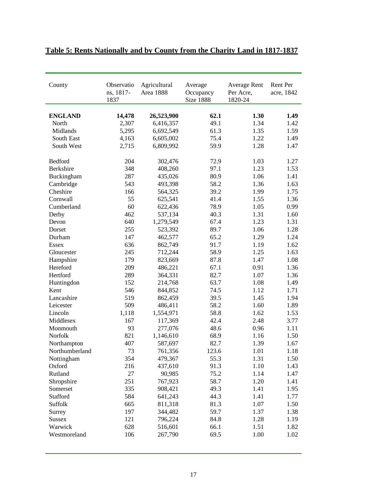| County         | Observatio<br>ns, 1817-<br>1837 | Agricultural<br><b>Area 1888</b> | Average<br>Occupancy<br>Size 1888 | <b>Average Rent</b><br>Per Acre,<br>1820-24 | Rent Per<br>acre, 1842 |
|----------------|---------------------------------|----------------------------------|-----------------------------------|---------------------------------------------|------------------------|
| <b>ENGLAND</b> | 14,478                          | 26,523,900                       | 62.1                              | 1.30                                        | 1.49                   |
| North          | 2,307                           | 6,416,357                        | 49.1                              | 1.34                                        | 1.42                   |
| Midlands       | 5,295                           | 6,692,549                        | 61.3                              | 1.35                                        | 1.59                   |
| South East     | 4,163                           | 6,605,002                        | 75.4                              | 1.22                                        | 1.49                   |
| South West     | 2,715                           | 6,809,992                        | 59.9                              | 1.28                                        | 1.47                   |
|                |                                 |                                  |                                   |                                             |                        |
| Bedford        | 204                             | 302,476                          | 72.9                              | 1.03                                        | 1.27                   |
| Berkshire      | 348                             | 408,260                          | 97.1                              | 1.23                                        | 1.53                   |
| Buckingham     | 287                             | 435,026                          | 80.9                              | 1.06                                        | 1.41                   |
| Cambridge      | 543                             | 493,398                          | 58.2                              | 1.36                                        | 1.63                   |
| Cheshire       | 166                             | 564,325                          | 39.2                              | 1.99                                        | 1.75                   |
| Cornwall       | 55                              | 625,541                          | 41.4                              | 1.55                                        | 1.36                   |
| Cumberland     | 60                              | 622,436                          | 78.9                              | 1.05                                        | 0.99                   |
| Derby          | 462                             | 537,134                          | 40.3                              | 1.31                                        | 1.60                   |
| Devon          | 640                             | 1,279,549                        | 67.4                              | 1.23                                        | 1.31                   |
| Dorset         | 255                             | 523,392                          | 89.7                              | 1.06                                        | 1.28                   |
| Durham         | 147                             | 462,577                          | 65.2                              | 1.29                                        | 1.24                   |
| <b>Essex</b>   | 636                             | 862,749                          | 91.7                              | 1.19                                        | 1.62                   |
| Gloucester     | 245                             | 712,244                          | 58.9                              | 1.25                                        | 1.63                   |
| Hampshire      | 179                             | 823,669                          | 87.8                              | 1.47                                        | 1.08                   |
| Hereford       | 209                             | 486,221                          | 67.1                              | 0.91                                        | 1.36                   |
| Hertford       | 289                             | 364,331                          | 82.7                              | 1.07                                        | 1.36                   |
| Huntingdon     | 152                             | 214,768                          | 63.7                              | 1.08                                        | 1.49                   |
| Kent           | 546                             | 844,852                          | 74.5                              | 1.12                                        | 1.71                   |
| Lancashire     | 519                             | 862,459                          | 39.5                              | 1.45                                        | 1.94                   |
| Leicester      | 509                             | 486,411                          | 58.2                              | 1.60                                        | 1.89                   |
| Lincoln        | 1,118                           | 1,554,971                        | 58.8                              | 1.62                                        | 1.53                   |
| Middlesex      | 167                             | 117,369                          | 42.4                              | 2.48                                        | 3.77                   |
| Monmouth       | 93                              | 277,076                          | 48.6                              | 0.96                                        | 1.11                   |
| Norfolk        | 821                             | 1,146,610                        | 68.9                              | 1.16                                        | 1.50                   |
| Northampton    | 407                             | 587,697                          | 82.7                              | 1.39                                        | 1.67                   |
| Northumberland | 73                              | 761,356                          | 123.6                             | 1.01                                        | 1.18                   |
| Nottingham     | 354                             | 479,367                          | 55.3                              | 1.31                                        | 1.50                   |
| Oxford         | 216                             | 437,610                          | 91.3                              | 1.10                                        | 1.43                   |
| Rutland        | 27                              | 90,985                           | 75.2                              | 1.14                                        | 1.47                   |
| Shropshire     | 251                             | 767,923                          | 58.7                              | 1.20                                        | 1.41                   |
| Somerset       | 335                             | 908,421                          | 49.3                              | 1.41                                        | 1.95                   |
| Stafford       | 584                             | 641,243                          | 44.3                              | 1.41                                        | 1.77                   |
| Suffolk        | 665                             | 811,318                          | 81.3                              | 1.07                                        | 1.50                   |
| Surrey         | 197                             | 344,482                          | 59.7                              | 1.37                                        | 1.38                   |
| <b>Sussex</b>  | 121                             | 796,224                          | 84.8                              | 1.28                                        | 1.19                   |
| Warwick        | 628                             | 516,601                          | 66.1                              | 1.51                                        | 1.82                   |
| Westmoreland   | 106                             | 267,790                          | 69.5                              | 1.00                                        | 1.02                   |

## **Table 5: Rents Nationally and by County from the Charity Land in 1817-1837**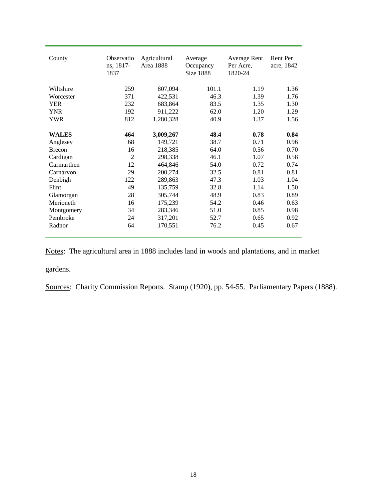| County        | Observatio<br>ns, 1817-<br>1837 | Agricultural<br>Area 1888 | Average<br>Occupancy<br><b>Size 1888</b> | Average Rent<br>Per Acre,<br>1820-24 | Rent Per<br>acre, 1842 |
|---------------|---------------------------------|---------------------------|------------------------------------------|--------------------------------------|------------------------|
| Wiltshire     | 259                             | 807,094                   | 101.1                                    | 1.19                                 | 1.36                   |
| Worcester     | 371                             | 422,531                   | 46.3                                     | 1.39                                 | 1.76                   |
|               |                                 |                           |                                          |                                      |                        |
| <b>YER</b>    | 232                             | 683,864                   | 83.5                                     | 1.35                                 | 1.30                   |
| <b>YNR</b>    | 192                             | 911,222                   | 62.0                                     | 1.20                                 | 1.29                   |
| YWR           | 812                             | 1,280,328                 | 40.9                                     | 1.37                                 | 1.56                   |
|               |                                 |                           |                                          |                                      |                        |
| <b>WALES</b>  | 464                             | 3,009,267                 | 48.4                                     | 0.78                                 | 0.84                   |
| Anglesey      | 68                              | 149,721                   | 38.7                                     | 0.71                                 | 0.96                   |
| <b>Brecon</b> | 16                              | 218,385                   | 64.0                                     | 0.56                                 | 0.70                   |
| Cardigan      | $\overline{2}$                  | 298,338                   | 46.1                                     | 1.07                                 | 0.58                   |
| Carmarthen    | 12                              | 464,846                   | 54.0                                     | 0.72                                 | 0.74                   |
| Carnarvon     | 29                              | 200,274                   | 32.5                                     | 0.81                                 | 0.81                   |
| Denbigh       | 122                             | 289,863                   | 47.3                                     | 1.03                                 | 1.04                   |
| Flint         | 49                              | 135,759                   | 32.8                                     | 1.14                                 | 1.50                   |
| Glamorgan     | 28                              | 305,744                   | 48.9                                     | 0.83                                 | 0.89                   |
| Merioneth     | 16                              | 175,239                   | 54.2                                     | 0.46                                 | 0.63                   |
| Montgomery    | 34                              | 283,346                   | 51.0                                     | 0.85                                 | 0.98                   |
| Pembroke      | 24                              | 317,201                   | 52.7                                     | 0.65                                 | 0.92                   |
| Radnor        | 64                              | 170,551                   | 76.2                                     | 0.45                                 | 0.67                   |

Notes: The agricultural area in 1888 includes land in woods and plantations, and in market gardens.

Sources: Charity Commission Reports. Stamp (1920), pp. 54-55. Parliamentary Papers (1888).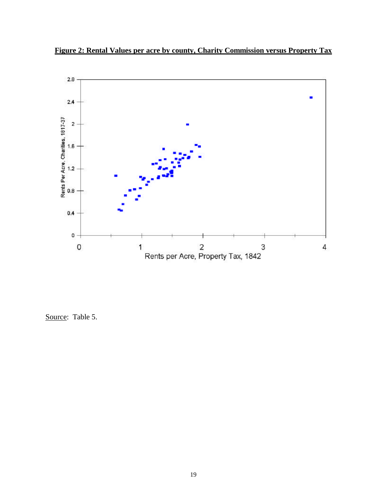



Source: Table 5.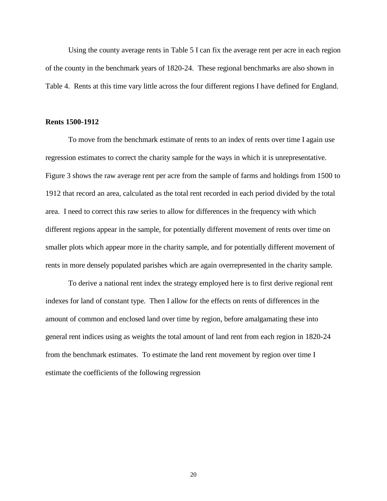Using the county average rents in Table 5 I can fix the average rent per acre in each region of the county in the benchmark years of 1820-24. These regional benchmarks are also shown in Table 4. Rents at this time vary little across the four different regions I have defined for England.

#### **Rents 1500-1912**

To move from the benchmark estimate of rents to an index of rents over time I again use regression estimates to correct the charity sample for the ways in which it is unrepresentative. Figure 3 shows the raw average rent per acre from the sample of farms and holdings from 1500 to 1912 that record an area, calculated as the total rent recorded in each period divided by the total area. I need to correct this raw series to allow for differences in the frequency with which different regions appear in the sample, for potentially different movement of rents over time on smaller plots which appear more in the charity sample, and for potentially different movement of rents in more densely populated parishes which are again overrepresented in the charity sample.

To derive a national rent index the strategy employed here is to first derive regional rent indexes for land of constant type. Then I allow for the effects on rents of differences in the amount of common and enclosed land over time by region, before amalgamating these into general rent indices using as weights the total amount of land rent from each region in 1820-24 from the benchmark estimates. To estimate the land rent movement by region over time I estimate the coefficients of the following regression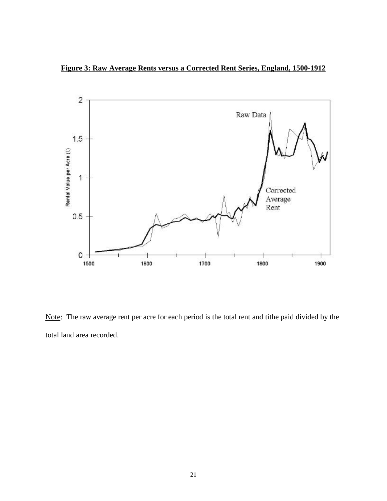**Figure 3: Raw Average Rents versus a Corrected Rent Series, England, 1500-1912**



Note: The raw average rent per acre for each period is the total rent and tithe paid divided by the total land area recorded.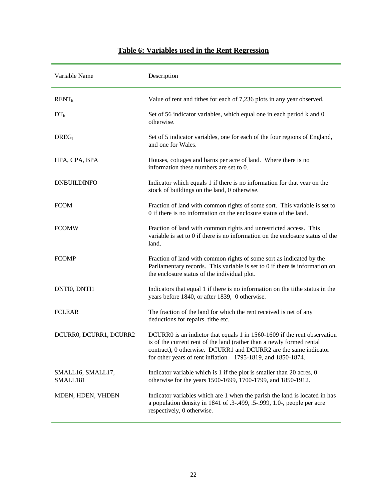## Variable Name Description RENT<sub>it</sub> Value of rent and tithes for each of 7.236 plots in any year observed.  $DT_k$  Set of 56 indicator variables, which equal one in each period k and 0 otherwise. DREG<sub>l</sub> Set of 5 indicator variables, one for each of the four regions of England, and one for Wales. HPA, CPA, BPA Houses, cottages and barns per acre of land. Where there is no information these numbers are set to 0. DNBUILDINFO Indicator which equals 1 if there is no information for that year on the stock of buildings on the land, 0 otherwise. FCOM Fraction of land with common rights of some sort. This variable is set to 0 if there is no information on the enclosure status of the land. FCOMW Fraction of land with common rights and unrestricted access. This variable is set to 0 if there is no information on the enclosure status of the land. FCOMP Fraction of land with common rights of some sort as indicated by the Parliamentary records. This variable is set to 0 if there **is** information on the enclosure status of the individual plot. DNTI0, DNTI1 Indicators that equal 1 if there is no information on the tithe status in the years before 1840, or after 1839, 0 otherwise. FCLEAR The fraction of the land for which the rent received is net of any deductions for repairs, tithe etc. DCURR0, DCURR1, DCURR2 DCURR0 is an indictor that equals 1 in 1560-1609 if the rent observation is of the current rent of the land (rather than a newly formed rental contract), 0 otherwise. DCURR1 and DCURR2 are the same indicator for other years of rent inflation – 1795-1819, and 1850-1874. SMALL16, SMALL17, SMALL181 Indicator variable which is 1 if the plot is smaller than 20 acres, 0 otherwise for the years 1500-1699, 1700-1799, and 1850-1912. MDEN, HDEN, VHDEN Indicator variables which are 1 when the parish the land is located in has a population density in 1841 of .3-.499, .5-.999, 1.0-, people per acre respectively, 0 otherwise.

### **Table 6: Variables used in the Rent Regression**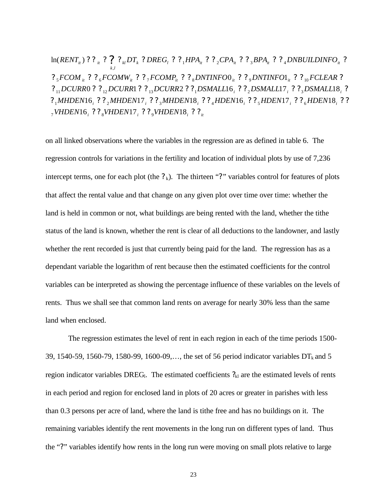*i i i it VHDEN VHDEN VHDEN ? ? ?* ? ? ? 16 17 18 7 8 9  $?$ <sub>1</sub>MHDEN16<sub>i</sub> ? ?<sub>2</sub>MHDEN17<sub>i</sub> ? ?<sub>3</sub>MHDEN18<sub>i</sub> ? ?<sub>4</sub>HDEN16<sub>i</sub> ? ?<sub>5</sub>HDEN17<sub>i</sub> ? ?<sub>6</sub>HDEN18<sub>i</sub> ? ? *i i i DCURR DCURR DCURR DSMALL DSMALL DSMALL ? ? ? ? ? ?* ? ? ? ? ? ? 0 1 2 16 17 18 11 12 13 1 2 3  $2^{n}$ <sub>5</sub>  $FCOM_{ii}$   $2^{n}$ <sub>2</sub>  $FCOMW_{ii}$   $2^{n}$ <sub>2</sub>  $FCOMP_{ii}$   $2^{n}$ <sub>3</sub>  $DNTINFO0_{ii}$   $2^{n}$ <sub>3</sub>  $DNTINFO1_{ii}$   $2^{n}$ <sub>10</sub>  $FCLEAR$  2 *it it it it k l*  $\ln(RENT_{ii})$ ??<sub>*it*</sub>??<sub>*iHDT<sub>k</sub>*?*DREG<sub>t</sub>*??<sub>1</sub>HPA<sub>it</sub>??<sub>2</sub>CPA<sub>it</sub>??<sub>3</sub>BPA<sub>it</sub>??<sub>4</sub>DNBUILDINFO<sub>it</sub>?</sub> ,

on all linked observations where the variables in the regression are as defined in table 6. The regression controls for variations in the fertility and location of individual plots by use of 7,236 intercept terms, one for each plot (the  $?_k$ ). The thirteen "?" variables control for features of plots that affect the rental value and that change on any given plot over time over time: whether the land is held in common or not, what buildings are being rented with the land, whether the tithe status of the land is known, whether the rent is clear of all deductions to the landowner, and lastly whether the rent recorded is just that currently being paid for the land. The regression has as a dependant variable the logarithm of rent because then the estimated coefficients for the control variables can be interpreted as showing the percentage influence of these variables on the levels of rents. Thus we shall see that common land rents on average for nearly 30% less than the same land when enclosed.

The regression estimates the level of rent in each region in each of the time periods 1500- 39, 1540-59, 1560-79, 1580-99, 1600-09,..., the set of 56 period indicator variables  $DT_k$  and 5 region indicator variables DREG<sub>l</sub>. The estimated coefficients  $?_{kl}$  are the estimated levels of rents in each period and region for enclosed land in plots of 20 acres or greater in parishes with less than 0.3 persons per acre of land, where the land is tithe free and has no buildings on it. The remaining variables identify the rent movements in the long run on different types of land. Thus the "?" variables identify how rents in the long run were moving on small plots relative to large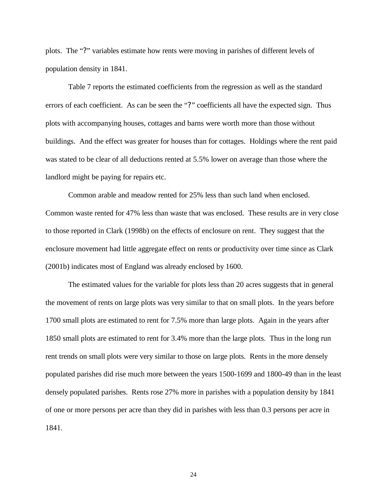plots. The "?" variables estimate how rents were moving in parishes of different levels of population density in 1841.

Table 7 reports the estimated coefficients from the regression as well as the standard errors of each coefficient. As can be seen the "?" coefficients all have the expected sign. Thus plots with accompanying houses, cottages and barns were worth more than those without buildings. And the effect was greater for houses than for cottages. Holdings where the rent paid was stated to be clear of all deductions rented at 5.5% lower on average than those where the landlord might be paying for repairs etc.

Common arable and meadow rented for 25% less than such land when enclosed. Common waste rented for 47% less than waste that was enclosed. These results are in very close to those reported in Clark (1998b) on the effects of enclosure on rent. They suggest that the enclosure movement had little aggregate effect on rents or productivity over time since as Clark (2001b) indicates most of England was already enclosed by 1600.

The estimated values for the variable for plots less than 20 acres suggests that in general the movement of rents on large plots was very similar to that on small plots. In the years before 1700 small plots are estimated to rent for 7.5% more than large plots. Again in the years after 1850 small plots are estimated to rent for 3.4% more than the large plots. Thus in the long run rent trends on small plots were very similar to those on large plots. Rents in the more densely populated parishes did rise much more between the years 1500-1699 and 1800-49 than in the least densely populated parishes. Rents rose 27% more in parishes with a population density by 1841 of one or more persons per acre than they did in parishes with less than 0.3 persons per acre in 1841.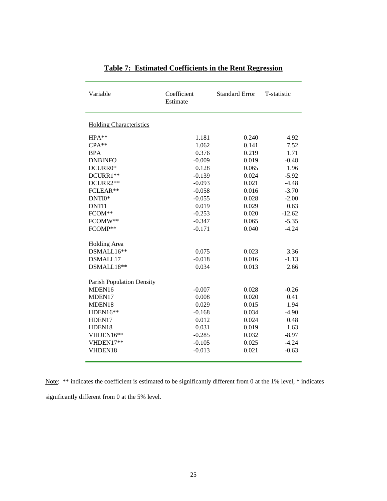| Variable                         | Coefficient<br>Estimate | <b>Standard Error</b> | T-statistic |
|----------------------------------|-------------------------|-----------------------|-------------|
| <b>Holding Characteristics</b>   |                         |                       |             |
| $HPA**$                          | 1.181                   | 0.240                 | 4.92        |
| $CPA**$                          | 1.062                   | 0.141                 | 7.52        |
| <b>BPA</b>                       | 0.376                   | 0.219                 | 1.71        |
| <b>DNBINFO</b>                   | $-0.009$                | 0.019                 | $-0.48$     |
| DCURR0*                          | 0.128                   | 0.065                 | 1.96        |
| DCURR1**                         | $-0.139$                | 0.024                 | $-5.92$     |
| DCURR2**                         | $-0.093$                | 0.021                 | $-4.48$     |
| FCLEAR**                         | $-0.058$                | 0.016                 | $-3.70$     |
| DNTI0*                           | $-0.055$                | 0.028                 | $-2.00$     |
| <b>DNTI1</b>                     | 0.019                   | 0.029                 | 0.63        |
| FCOM**                           | $-0.253$                | 0.020                 | $-12.62$    |
| FCOMW**                          | $-0.347$                | 0.065                 | $-5.35$     |
| FCOMP**                          | $-0.171$                | 0.040                 | $-4.24$     |
| <b>Holding Area</b>              |                         |                       |             |
| $DSMALL16**$                     | 0.075                   | 0.023                 | 3.36        |
| DSMALL17                         | $-0.018$                | 0.016                 | $-1.13$     |
| DSMALL18**                       | 0.034                   | 0.013                 | 2.66        |
|                                  |                         |                       |             |
| <b>Parish Population Density</b> |                         |                       |             |
| MDEN16                           | $-0.007$                | 0.028                 | $-0.26$     |
| MDEN17                           | 0.008                   | 0.020                 | 0.41        |
| MDEN18                           | 0.029                   | 0.015                 | 1.94        |
| HDEN16**                         | $-0.168$                | 0.034                 | $-4.90$     |
| HDEN17                           | 0.012                   | 0.024                 | 0.48        |
| HDEN18                           | 0.031                   | 0.019                 | 1.63        |
| VHDEN16**                        | $-0.285$                | 0.032                 | $-8.97$     |
| VHDEN17**                        | $-0.105$                | 0.025                 | $-4.24$     |
| VHDEN18                          | $-0.013$                | 0.021                 | $-0.63$     |
|                                  |                         |                       |             |

**Table 7: Estimated Coefficients in the Rent Regression**

Note: \*\* indicates the coefficient is estimated to be significantly different from 0 at the 1% level, \* indicates significantly different from 0 at the 5% level.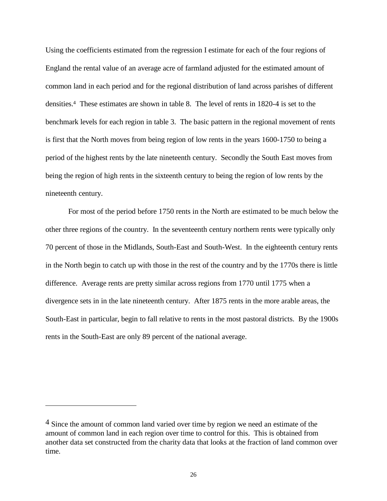Using the coefficients estimated from the regression I estimate for each of the four regions of England the rental value of an average acre of farmland adjusted for the estimated amount of common land in each period and for the regional distribution of land across parishes of different densities.<sup>4</sup> These estimates are shown in table 8. The level of rents in 1820-4 is set to the benchmark levels for each region in table 3. The basic pattern in the regional movement of rents is first that the North moves from being region of low rents in the years 1600-1750 to being a period of the highest rents by the late nineteenth century. Secondly the South East moves from being the region of high rents in the sixteenth century to being the region of low rents by the nineteenth century.

For most of the period before 1750 rents in the North are estimated to be much below the other three regions of the country. In the seventeenth century northern rents were typically only 70 percent of those in the Midlands, South-East and South-West. In the eighteenth century rents in the North begin to catch up with those in the rest of the country and by the 1770s there is little difference. Average rents are pretty similar across regions from 1770 until 1775 when a divergence sets in in the late nineteenth century. After 1875 rents in the more arable areas, the South-East in particular, begin to fall relative to rents in the most pastoral districts. By the 1900s rents in the South-East are only 89 percent of the national average.

-

<sup>4</sup> Since the amount of common land varied over time by region we need an estimate of the amount of common land in each region over time to control for this. This is obtained from another data set constructed from the charity data that looks at the fraction of land common over time.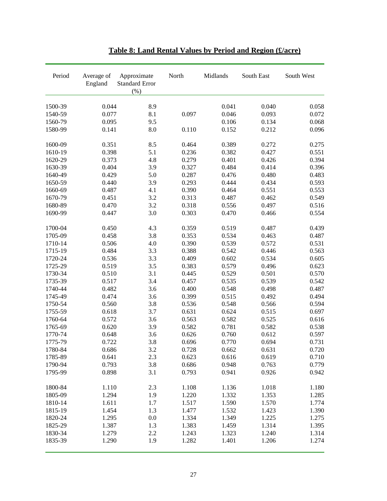| Period  | Average of<br>England | Approximate<br><b>Standard Error</b><br>(% ) | North | Midlands | South East | South West |
|---------|-----------------------|----------------------------------------------|-------|----------|------------|------------|
| 1500-39 | 0.044                 | 8.9                                          |       | 0.041    | 0.040      | 0.058      |
| 1540-59 | 0.077                 | 8.1                                          | 0.097 | 0.046    | 0.093      | 0.072      |
| 1560-79 | 0.095                 | 9.5                                          |       | 0.106    | 0.134      | 0.068      |
| 1580-99 | 0.141                 | 8.0                                          | 0.110 | 0.152    | 0.212      | 0.096      |
|         |                       |                                              |       |          |            |            |
| 1600-09 | 0.351                 | 8.5                                          | 0.464 | 0.389    | 0.272      | 0.275      |
| 1610-19 | 0.398                 | 5.1                                          | 0.236 | 0.382    | 0.427      | 0.551      |
| 1620-29 | 0.373                 | 4.8                                          | 0.279 | 0.401    | 0.426      | 0.394      |
| 1630-39 | 0.404                 | 3.9                                          | 0.327 | 0.484    | 0.414      | 0.396      |
| 1640-49 | 0.429                 | 5.0                                          | 0.287 | 0.476    | 0.480      | 0.483      |
| 1650-59 | 0.440                 | 3.9                                          | 0.293 | 0.444    | 0.434      | 0.593      |
| 1660-69 | 0.487                 | 4.1                                          | 0.390 | 0.464    | 0.551      | 0.553      |
| 1670-79 | 0.451                 | 3.2                                          | 0.313 | 0.487    | 0.462      | 0.549      |
| 1680-89 | 0.470                 | 3.2                                          | 0.318 | 0.556    | 0.497      | 0.516      |
| 1690-99 | 0.447                 | 3.0                                          | 0.303 | 0.470    | 0.466      | 0.554      |
| 1700-04 | 0.450                 | 4.3                                          | 0.359 | 0.519    | 0.487      | 0.439      |
| 1705-09 | 0.458                 | 3.8                                          | 0.353 | 0.534    | 0.463      | 0.487      |
| 1710-14 | 0.506                 | 4.0                                          | 0.390 | 0.539    | 0.572      | 0.531      |
| 1715-19 | 0.484                 | 3.3                                          | 0.388 | 0.542    | 0.446      | 0.563      |
| 1720-24 | 0.536                 | 3.3                                          | 0.409 | 0.602    | 0.534      | 0.605      |
| 1725-29 | 0.519                 | 3.5                                          | 0.383 | 0.579    | 0.496      | 0.623      |
| 1730-34 | 0.510                 | 3.1                                          | 0.445 | 0.529    | 0.501      | 0.570      |
| 1735-39 | 0.517                 | 3.4                                          | 0.457 | 0.535    | 0.539      | 0.542      |
| 1740-44 | 0.482                 | 3.6                                          | 0.400 | 0.548    | 0.498      | 0.487      |
| 1745-49 | 0.474                 | 3.6                                          | 0.399 | 0.515    | 0.492      | 0.494      |
| 1750-54 | 0.560                 | 3.8                                          | 0.536 | 0.548    | 0.566      | 0.594      |
| 1755-59 | 0.618                 | 3.7                                          | 0.631 | 0.624    | 0.515      | 0.697      |
|         |                       | 3.6                                          |       |          |            | 0.616      |
| 1760-64 | 0.572                 |                                              | 0.563 | 0.582    | 0.525      |            |
| 1765-69 | 0.620                 | 3.9                                          | 0.582 | 0.781    | 0.582      | 0.538      |
| 1770-74 | 0.648                 | 3.6                                          | 0.626 | 0.760    | 0.612      | 0.597      |
| 1775-79 | 0.722                 | 3.8                                          | 0.696 | 0.770    | 0.694      | 0.731      |
| 1780-84 | 0.686                 | 3.2                                          | 0.728 | 0.662    | 0.631      | 0.720      |
| 1785-89 | 0.641                 | 2.3                                          | 0.623 | 0.616    | 0.619      | 0.710      |
| 1790-94 | 0.793                 | 3.8                                          | 0.686 | 0.948    | 0.763      | 0.779      |
| 1795-99 | 0.898                 | 3.1                                          | 0.793 | 0.941    | 0.926      | 0.942      |
| 1800-84 | 1.110                 | 2.3                                          | 1.108 | 1.136    | 1.018      | 1.180      |
| 1805-09 | 1.294                 | 1.9                                          | 1.220 | 1.332    | 1.353      | 1.285      |
| 1810-14 | 1.611                 | 1.7                                          | 1.517 | 1.590    | 1.570      | 1.774      |
| 1815-19 | 1.454                 | 1.3                                          | 1.477 | 1.532    | 1.423      | 1.390      |
| 1820-24 | 1.295                 | 0.0                                          | 1.334 | 1.349    | 1.225      | 1.275      |
| 1825-29 | 1.387                 | 1.3                                          | 1.383 | 1.459    | 1.314      | 1.395      |
| 1830-34 | 1.279                 | 2.2                                          | 1.243 | 1.323    | 1.240      | 1.314      |
| 1835-39 | 1.290                 | 1.9                                          | 1.282 | 1.401    | 1.206      | 1.274      |

## **Table 8: Land Rental Values by Period and Region (£/acre)**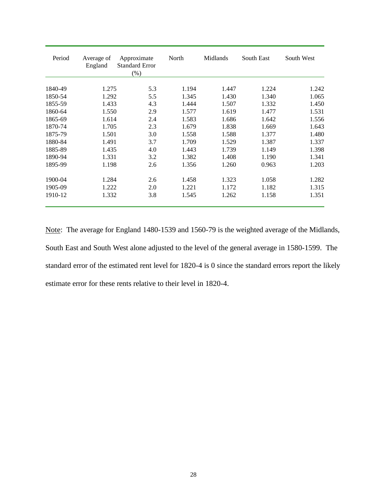| Period  | Average of<br>England | Approximate<br><b>Standard Error</b><br>(% ) | North | Midlands | South East | South West |
|---------|-----------------------|----------------------------------------------|-------|----------|------------|------------|
| 1840-49 | 1.275                 | 5.3                                          | 1.194 | 1.447    | 1.224      | 1.242      |
| 1850-54 | 1.292                 | 5.5                                          | 1.345 | 1.430    | 1.340      | 1.065      |
| 1855-59 | 1.433                 | 4.3                                          | 1.444 | 1.507    | 1.332      | 1.450      |
| 1860-64 | 1.550                 | 2.9                                          | 1.577 | 1.619    | 1.477      | 1.531      |
| 1865-69 | 1.614                 | 2.4                                          | 1.583 | 1.686    | 1.642      | 1.556      |
| 1870-74 | 1.705                 | 2.3                                          | 1.679 | 1.838    | 1.669      | 1.643      |
| 1875-79 | 1.501                 | 3.0                                          | 1.558 | 1.588    | 1.377      | 1.480      |
| 1880-84 | 1.491                 | 3.7                                          | 1.709 | 1.529    | 1.387      | 1.337      |
| 1885-89 | 1.435                 | 4.0                                          | 1.443 | 1.739    | 1.149      | 1.398      |
| 1890-94 | 1.331                 | 3.2                                          | 1.382 | 1.408    | 1.190      | 1.341      |
| 1895-99 | 1.198                 | 2.6                                          | 1.356 | 1.260    | 0.963      | 1.203      |
| 1900-04 | 1.284                 | 2.6                                          | 1.458 | 1.323    | 1.058      | 1.282      |
| 1905-09 | 1.222                 | 2.0                                          | 1.221 | 1.172    | 1.182      | 1.315      |
| 1910-12 | 1.332                 | 3.8                                          | 1.545 | 1.262    | 1.158      | 1.351      |

Note: The average for England 1480-1539 and 1560-79 is the weighted average of the Midlands, South East and South West alone adjusted to the level of the general average in 1580-1599. The standard error of the estimated rent level for 1820-4 is 0 since the standard errors report the likely estimate error for these rents relative to their level in 1820-4.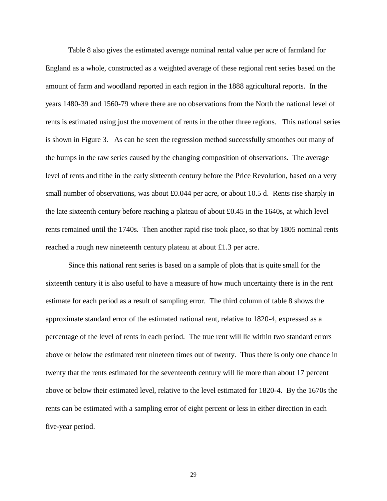Table 8 also gives the estimated average nominal rental value per acre of farmland for England as a whole, constructed as a weighted average of these regional rent series based on the amount of farm and woodland reported in each region in the 1888 agricultural reports. In the years 1480-39 and 1560-79 where there are no observations from the North the national level of rents is estimated using just the movement of rents in the other three regions. This national series is shown in Figure 3. As can be seen the regression method successfully smoothes out many of the bumps in the raw series caused by the changing composition of observations. The average level of rents and tithe in the early sixteenth century before the Price Revolution, based on a very small number of observations, was about £0.044 per acre, or about 10.5 d. Rents rise sharply in the late sixteenth century before reaching a plateau of about £0.45 in the 1640s, at which level rents remained until the 1740s. Then another rapid rise took place, so that by 1805 nominal rents reached a rough new nineteenth century plateau at about £1.3 per acre.

Since this national rent series is based on a sample of plots that is quite small for the sixteenth century it is also useful to have a measure of how much uncertainty there is in the rent estimate for each period as a result of sampling error. The third column of table 8 shows the approximate standard error of the estimated national rent, relative to 1820-4, expressed as a percentage of the level of rents in each period. The true rent will lie within two standard errors above or below the estimated rent nineteen times out of twenty. Thus there is only one chance in twenty that the rents estimated for the seventeenth century will lie more than about 17 percent above or below their estimated level, relative to the level estimated for 1820-4. By the 1670s the rents can be estimated with a sampling error of eight percent or less in either direction in each five-year period.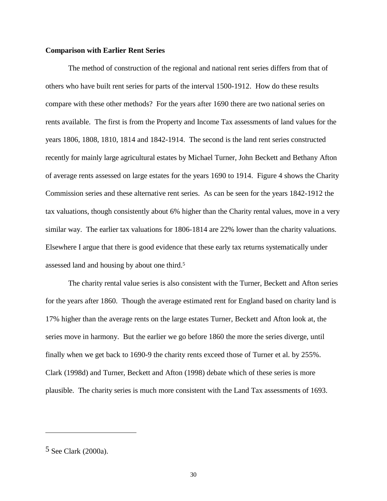#### **Comparison with Earlier Rent Series**

The method of construction of the regional and national rent series differs from that of others who have built rent series for parts of the interval 1500-1912. How do these results compare with these other methods? For the years after 1690 there are two national series on rents available. The first is from the Property and Income Tax assessments of land values for the years 1806, 1808, 1810, 1814 and 1842-1914. The second is the land rent series constructed recently for mainly large agricultural estates by Michael Turner, John Beckett and Bethany Afton of average rents assessed on large estates for the years 1690 to 1914. Figure 4 shows the Charity Commission series and these alternative rent series. As can be seen for the years 1842-1912 the tax valuations, though consistently about 6% higher than the Charity rental values, move in a very similar way. The earlier tax valuations for 1806-1814 are 22% lower than the charity valuations. Elsewhere I argue that there is good evidence that these early tax returns systematically under assessed land and housing by about one third.<sup>5</sup>

The charity rental value series is also consistent with the Turner, Beckett and Afton series for the years after 1860. Though the average estimated rent for England based on charity land is 17% higher than the average rents on the large estates Turner, Beckett and Afton look at, the series move in harmony. But the earlier we go before 1860 the more the series diverge, until finally when we get back to 1690-9 the charity rents exceed those of Turner et al. by 255%. Clark (1998d) and Turner, Beckett and Afton (1998) debate which of these series is more plausible. The charity series is much more consistent with the Land Tax assessments of 1693.

-

<sup>5</sup> See Clark (2000a).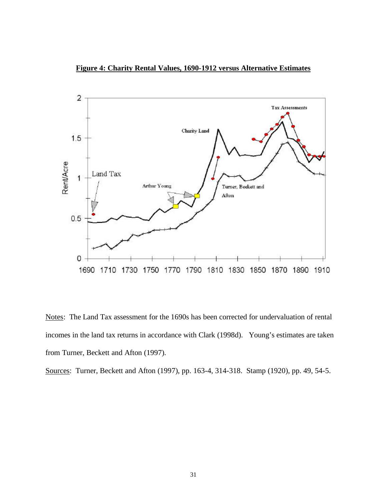**Figure 4: Charity Rental Values, 1690-1912 versus Alternative Estimates**



Notes: The Land Tax assessment for the 1690s has been corrected for undervaluation of rental incomes in the land tax returns in accordance with Clark (1998d). Young's estimates are taken from Turner, Beckett and Afton (1997).

Sources: Turner, Beckett and Afton (1997), pp. 163-4, 314-318. Stamp (1920), pp. 49, 54-5.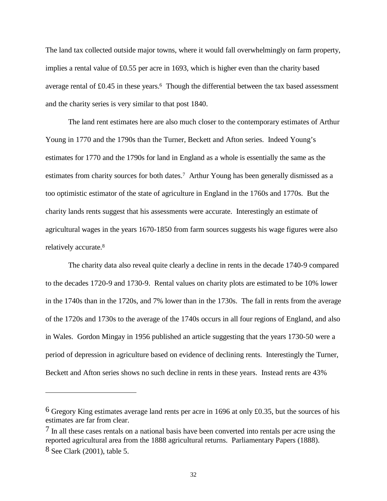The land tax collected outside major towns, where it would fall overwhelmingly on farm property, implies a rental value of £0.55 per acre in 1693, which is higher even than the charity based average rental of £0.45 in these years.<sup>6</sup> Though the differential between the tax based assessment and the charity series is very similar to that post 1840.

The land rent estimates here are also much closer to the contemporary estimates of Arthur Young in 1770 and the 1790s than the Turner, Beckett and Afton series. Indeed Young's estimates for 1770 and the 1790s for land in England as a whole is essentially the same as the estimates from charity sources for both dates.<sup>7</sup> Arthur Young has been generally dismissed as a too optimistic estimator of the state of agriculture in England in the 1760s and 1770s. But the charity lands rents suggest that his assessments were accurate. Interestingly an estimate of agricultural wages in the years 1670-1850 from farm sources suggests his wage figures were also relatively accurate.<sup>8</sup>

The charity data also reveal quite clearly a decline in rents in the decade 1740-9 compared to the decades 1720-9 and 1730-9. Rental values on charity plots are estimated to be 10% lower in the 1740s than in the 1720s, and 7% lower than in the 1730s. The fall in rents from the average of the 1720s and 1730s to the average of the 1740s occurs in all four regions of England, and also in Wales. Gordon Mingay in 1956 published an article suggesting that the years 1730-50 were a period of depression in agriculture based on evidence of declining rents. Interestingly the Turner, Beckett and Afton series shows no such decline in rents in these years. Instead rents are 43%

-

 $6$  Gregory King estimates average land rents per acre in 1696 at only £0.35, but the sources of his estimates are far from clear.

<sup>&</sup>lt;sup>7</sup> In all these cases rentals on a national basis have been converted into rentals per acre using the reported agricultural area from the 1888 agricultural returns. Parliamentary Papers (1888). 8 See Clark (2001), table 5.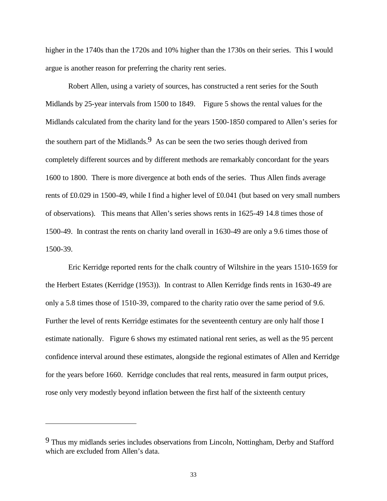higher in the 1740s than the 1720s and 10% higher than the 1730s on their series. This I would argue is another reason for preferring the charity rent series.

Robert Allen, using a variety of sources, has constructed a rent series for the South Midlands by 25-year intervals from 1500 to 1849. Figure 5 shows the rental values for the Midlands calculated from the charity land for the years 1500-1850 compared to Allen's series for the southern part of the Midlands.<sup>9</sup> As can be seen the two series though derived from completely different sources and by different methods are remarkably concordant for the years 1600 to 1800. There is more divergence at both ends of the series. Thus Allen finds average rents of £0.029 in 1500-49, while I find a higher level of £0.041 (but based on very small numbers of observations). This means that Allen's series shows rents in 1625-49 14.8 times those of 1500-49. In contrast the rents on charity land overall in 1630-49 are only a 9.6 times those of 1500-39.

Eric Kerridge reported rents for the chalk country of Wiltshire in the years 1510-1659 for the Herbert Estates (Kerridge (1953)). In contrast to Allen Kerridge finds rents in 1630-49 are only a 5.8 times those of 1510-39, compared to the charity ratio over the same period of 9.6. Further the level of rents Kerridge estimates for the seventeenth century are only half those I estimate nationally. Figure 6 shows my estimated national rent series, as well as the 95 percent confidence interval around these estimates, alongside the regional estimates of Allen and Kerridge for the years before 1660. Kerridge concludes that real rents, measured in farm output prices, rose only very modestly beyond inflation between the first half of the sixteenth century

-

<sup>9</sup> Thus my midlands series includes observations from Lincoln, Nottingham, Derby and Stafford which are excluded from Allen's data.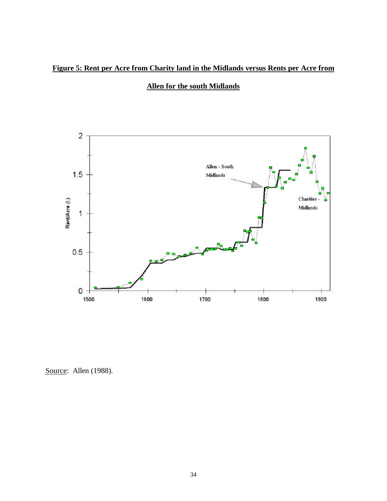## **Figure 5: Rent per Acre from Charity land in the Midlands versus Rents per Acre from**

### **Allen for the south Midlands**



Source: Allen (1988).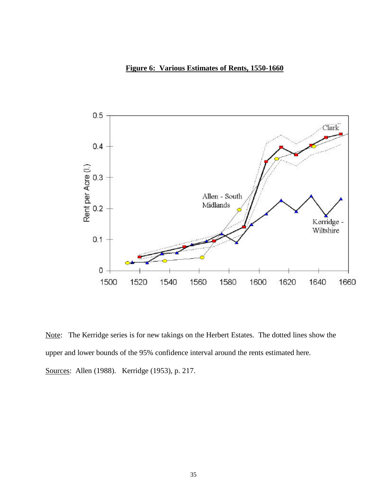### **Figure 6: Various Estimates of Rents, 1550-1660**



Note: The Kerridge series is for new takings on the Herbert Estates. The dotted lines show the upper and lower bounds of the 95% confidence interval around the rents estimated here. Sources: Allen (1988). Kerridge (1953), p. 217.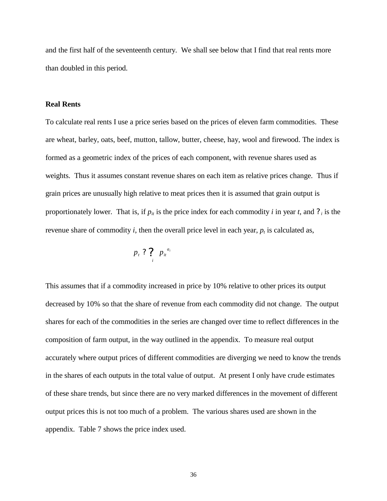and the first half of the seventeenth century. We shall see below that I find that real rents more than doubled in this period.

#### **Real Rents**

To calculate real rents I use a price series based on the prices of eleven farm commodities. These are wheat, barley, oats, beef, mutton, tallow, butter, cheese, hay, wool and firewood. The index is formed as a geometric index of the prices of each component, with revenue shares used as weights. Thus it assumes constant revenue shares on each item as relative prices change. Thus if grain prices are unusually high relative to meat prices then it is assumed that grain output is proportionately lower. That is, if  $p_i$  is the price index for each commodity *i* in year *t*, and  $\gamma$  *i* is the revenue share of commodity *i*, then the overall price level in each year,  $p_t$  is calculated as,

$$
p_{t} ? ? p_{it}^{a_{it}}
$$

This assumes that if a commodity increased in price by 10% relative to other prices its output decreased by 10% so that the share of revenue from each commodity did not change. The output shares for each of the commodities in the series are changed over time to reflect differences in the composition of farm output, in the way outlined in the appendix. To measure real output accurately where output prices of different commodities are diverging we need to know the trends in the shares of each outputs in the total value of output. At present I only have crude estimates of these share trends, but since there are no very marked differences in the movement of different output prices this is not too much of a problem. The various shares used are shown in the appendix. Table 7 shows the price index used.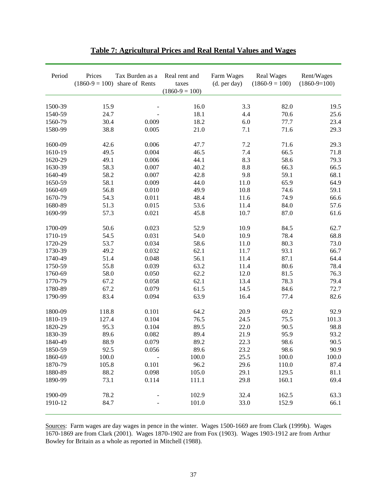| Period  | Prices<br>$(1860-9=100)$ | Tax Burden as a<br>share of Rents | Real rent and<br>taxes<br>$(1860-9=100)$ | Farm Wages<br>(d. per day) | <b>Real Wages</b><br>$(1860-9=100)$ | Rent/Wages<br>$(1860-9=100)$ |
|---------|--------------------------|-----------------------------------|------------------------------------------|----------------------------|-------------------------------------|------------------------------|
| 1500-39 | 15.9                     |                                   | 16.0                                     | 3.3                        | 82.0                                | 19.5                         |
| 1540-59 | 24.7                     |                                   | 18.1                                     | 4.4                        | 70.6                                | 25.6                         |
| 1560-79 | 30.4                     | 0.009                             | 18.2                                     | 6.0                        | 77.7                                | 23.4                         |
| 1580-99 | 38.8                     | 0.005                             | 21.0                                     | 7.1                        | 71.6                                | 29.3                         |
| 1600-09 | 42.6                     | 0.006                             | 47.7                                     | 7.2                        | 71.6                                | 29.3                         |
| 1610-19 | 49.5                     | 0.004                             | 46.5                                     | 7.4                        | 66.5                                | 71.8                         |
| 1620-29 | 49.1                     | 0.006                             | 44.1                                     | 8.3                        | 58.6                                | 79.3                         |
| 1630-39 | 58.3                     | 0.007                             | 40.2                                     | 8.8                        | 66.3                                | 66.5                         |
| 1640-49 | 58.2                     | 0.007                             | 42.8                                     | 9.8                        | 59.1                                | 68.1                         |
| 1650-59 | 58.1                     | 0.009                             | 44.0                                     | 11.0                       | 65.9                                | 64.9                         |
| 1660-69 | 56.8                     | 0.010                             | 49.9                                     | 10.8                       | 74.6                                | 59.1                         |
| 1670-79 | 54.3                     | 0.011                             | 48.4                                     | 11.6                       | 74.9                                | 66.6                         |
| 1680-89 | 51.3                     | 0.015                             | 53.6                                     | 11.4                       | 84.0                                | 57.6                         |
| 1690-99 | 57.3                     | 0.021                             | 45.8                                     | 10.7                       | 87.0                                | 61.6                         |
| 1700-09 | 50.6                     | 0.023                             | 52.9                                     | 10.9                       | 84.5                                | 62.7                         |
| 1710-19 | 54.5                     | 0.031                             | 54.0                                     | 10.9                       | 78.4                                | 68.8                         |
| 1720-29 | 53.7                     | 0.034                             | 58.6                                     | 11.0                       | 80.3                                | 73.0                         |
| 1730-39 | 49.2                     | 0.032                             | 62.1                                     | 11.7                       | 93.1                                | 66.7                         |
| 1740-49 | 51.4                     | 0.048                             | 56.1                                     | 11.4                       | 87.1                                | 64.4                         |
| 1750-59 | 55.8                     | 0.039                             | 63.2                                     | 11.4                       | 80.6                                | 78.4                         |
| 1760-69 | 58.0                     | 0.050                             | 62.2                                     | 12.0                       | 81.5                                | 76.3                         |
| 1770-79 | 67.2                     | 0.058                             | 62.1                                     | 13.4                       | 78.3                                | 79.4                         |
| 1780-89 | 67.2                     | 0.079                             | 61.5                                     | 14.5                       | 84.6                                | 72.7                         |
| 1790-99 | 83.4                     | 0.094                             | 63.9                                     | 16.4                       | 77.4                                | 82.6                         |
| 1800-09 | 118.8                    | 0.101                             | 64.2                                     | 20.9                       | 69.2                                | 92.9                         |
| 1810-19 | 127.4                    | 0.104                             | 76.5                                     | 24.5                       | 75.5                                | 101.3                        |
| 1820-29 | 95.3                     | 0.104                             | 89.5                                     | 22.0                       | 90.5                                | 98.8                         |
| 1830-39 | 89.6                     | 0.082                             | 89.4                                     | 21.9                       | 95.9                                | 93.2                         |
| 1840-49 | 88.9                     | 0.079                             | 89.2                                     | 22.3                       | 98.6                                | 90.5                         |
| 1850-59 | 92.5                     | 0.056                             | 89.6                                     | 23.2                       | 98.6                                | 90.9                         |
| 1860-69 | 100.0                    |                                   | 100.0                                    | 25.5                       | 100.0                               | 100.0                        |
| 1870-79 | 105.8                    | 0.101                             | 96.2                                     | 29.6                       | 110.0                               | 87.4                         |
| 1880-89 | 88.2                     | 0.098                             | 105.0                                    | 29.1                       | 129.5                               | 81.1                         |
| 1890-99 | 73.1                     | 0.114                             | 111.1                                    | 29.8                       | 160.1                               | 69.4                         |
| 1900-09 | 78.2                     |                                   | 102.9                                    | 32.4                       | 162.5                               | 63.3                         |
| 1910-12 | 84.7                     |                                   | 101.0                                    | 33.0                       | 152.9                               | 66.1                         |

| <b>Table 7: Agricultural Prices and Real Rental Values and Wages</b> |  |  |  |  |  |  |  |
|----------------------------------------------------------------------|--|--|--|--|--|--|--|
|----------------------------------------------------------------------|--|--|--|--|--|--|--|

Sources: Farm wages are day wages in pence in the winter. Wages 1500-1669 are from Clark (1999b). Wages 1670-1869 are from Clark (2001). Wages 1870-1902 are from Fox (1903). Wages 1903-1912 are from Arthur Bowley for Britain as a whole as reported in Mitchell (1988).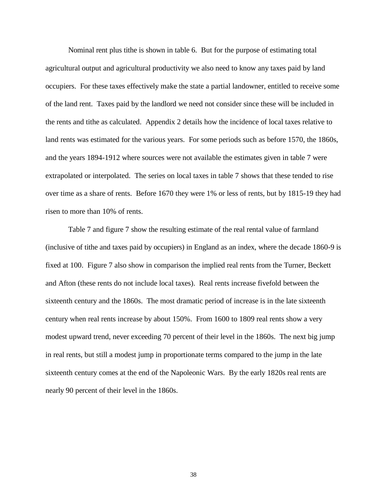Nominal rent plus tithe is shown in table 6. But for the purpose of estimating total agricultural output and agricultural productivity we also need to know any taxes paid by land occupiers. For these taxes effectively make the state a partial landowner, entitled to receive some of the land rent. Taxes paid by the landlord we need not consider since these will be included in the rents and tithe as calculated. Appendix 2 details how the incidence of local taxes relative to land rents was estimated for the various years. For some periods such as before 1570, the 1860s, and the years 1894-1912 where sources were not available the estimates given in table 7 were extrapolated or interpolated. The series on local taxes in table 7 shows that these tended to rise over time as a share of rents. Before 1670 they were 1% or less of rents, but by 1815-19 they had risen to more than 10% of rents.

Table 7 and figure 7 show the resulting estimate of the real rental value of farmland (inclusive of tithe and taxes paid by occupiers) in England as an index, where the decade 1860-9 is fixed at 100. Figure 7 also show in comparison the implied real rents from the Turner, Beckett and Afton (these rents do not include local taxes). Real rents increase fivefold between the sixteenth century and the 1860s. The most dramatic period of increase is in the late sixteenth century when real rents increase by about 150%. From 1600 to 1809 real rents show a very modest upward trend, never exceeding 70 percent of their level in the 1860s. The next big jump in real rents, but still a modest jump in proportionate terms compared to the jump in the late sixteenth century comes at the end of the Napoleonic Wars. By the early 1820s real rents are nearly 90 percent of their level in the 1860s.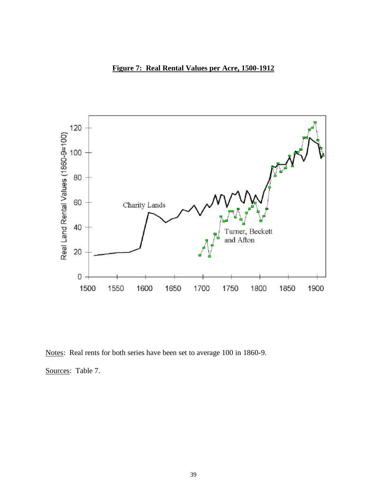## **Figure 7: Real Rental Values per Acre, 1500-1912**



Notes: Real rents for both series have been set to average 100 in 1860-9.

Sources: Table 7.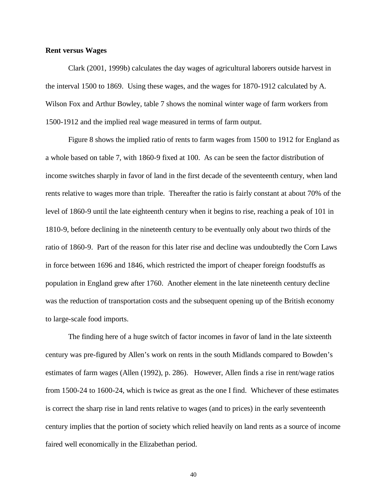#### **Rent versus Wages**

Clark (2001, 1999b) calculates the day wages of agricultural laborers outside harvest in the interval 1500 to 1869. Using these wages, and the wages for 1870-1912 calculated by A. Wilson Fox and Arthur Bowley, table 7 shows the nominal winter wage of farm workers from 1500-1912 and the implied real wage measured in terms of farm output.

Figure 8 shows the implied ratio of rents to farm wages from 1500 to 1912 for England as a whole based on table 7, with 1860-9 fixed at 100. As can be seen the factor distribution of income switches sharply in favor of land in the first decade of the seventeenth century, when land rents relative to wages more than triple. Thereafter the ratio is fairly constant at about 70% of the level of 1860-9 until the late eighteenth century when it begins to rise, reaching a peak of 101 in 1810-9, before declining in the nineteenth century to be eventually only about two thirds of the ratio of 1860-9. Part of the reason for this later rise and decline was undoubtedly the Corn Laws in force between 1696 and 1846, which restricted the import of cheaper foreign foodstuffs as population in England grew after 1760. Another element in the late nineteenth century decline was the reduction of transportation costs and the subsequent opening up of the British economy to large-scale food imports.

The finding here of a huge switch of factor incomes in favor of land in the late sixteenth century was pre-figured by Allen's work on rents in the south Midlands compared to Bowden's estimates of farm wages (Allen (1992), p. 286). However, Allen finds a rise in rent/wage ratios from 1500-24 to 1600-24, which is twice as great as the one I find. Whichever of these estimates is correct the sharp rise in land rents relative to wages (and to prices) in the early seventeenth century implies that the portion of society which relied heavily on land rents as a source of income faired well economically in the Elizabethan period.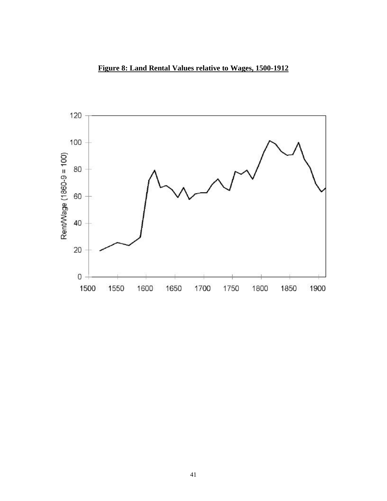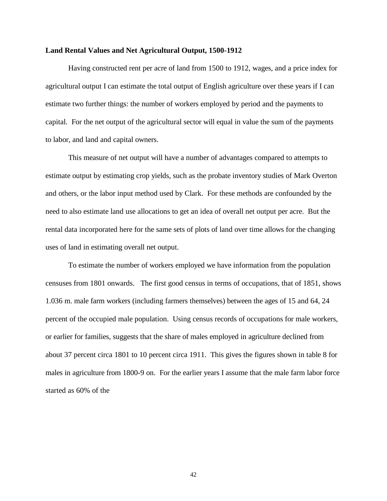#### **Land Rental Values and Net Agricultural Output, 1500-1912**

Having constructed rent per acre of land from 1500 to 1912, wages, and a price index for agricultural output I can estimate the total output of English agriculture over these years if I can estimate two further things: the number of workers employed by period and the payments to capital. For the net output of the agricultural sector will equal in value the sum of the payments to labor, and land and capital owners.

This measure of net output will have a number of advantages compared to attempts to estimate output by estimating crop yields, such as the probate inventory studies of Mark Overton and others, or the labor input method used by Clark. For these methods are confounded by the need to also estimate land use allocations to get an idea of overall net output per acre. But the rental data incorporated here for the same sets of plots of land over time allows for the changing uses of land in estimating overall net output.

To estimate the number of workers employed we have information from the population censuses from 1801 onwards. The first good census in terms of occupations, that of 1851, shows 1.036 m. male farm workers (including farmers themselves) between the ages of 15 and 64, 24 percent of the occupied male population. Using census records of occupations for male workers, or earlier for families, suggests that the share of males employed in agriculture declined from about 37 percent circa 1801 to 10 percent circa 1911. This gives the figures shown in table 8 for males in agriculture from 1800-9 on. For the earlier years I assume that the male farm labor force started as 60% of the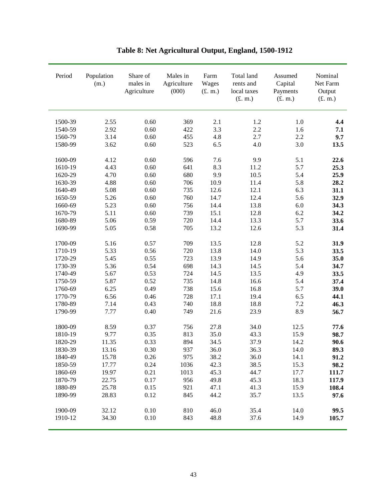| 2.1<br>1500-39<br>2.55<br>0.60<br>369<br>1.2<br>1.0<br>3.3<br>2.92<br>0.60<br>2.2<br>1540-59<br>422<br>1.6<br>2.7<br>3.14<br>0.60<br>455<br>4.8<br>1560-79<br>2.2<br>3.62<br>0.60<br>523<br>6.5<br>4.0<br>3.0<br>1580-99<br>5.1<br>1600-09<br>4.12<br>0.60<br>596<br>7.6<br>9.9<br>4.43<br>0.60<br>641<br>8.3<br>5.7<br>1610-19<br>11.2<br>4.70<br>0.60<br>680<br>9.9<br>10.5<br>5.4<br>1620-29<br>4.88<br>0.60<br>10.9<br>1630-39<br>706<br>11.4<br>5.8<br>5.08<br>0.60<br>12.1<br>6.3<br>1640-49<br>735<br>12.6<br>5.26<br>0.60<br>760<br>14.7<br>12.4<br>1650-59<br>5.6<br>5.23<br>0.60<br>14.4<br>13.8<br>6.0<br>1660-69<br>756<br>5.11<br>0.60<br>739<br>15.1<br>12.8<br>6.2<br>1670-79<br>5.06<br>0.59<br>720<br>14.4<br>13.3<br>5.7<br>1680-89<br>705<br>13.2<br>5.3<br>1690-99<br>5.05<br>0.58<br>12.6<br>5.16<br>0.57<br>709<br>13.5<br>5.2<br>1700-09<br>12.8<br>5.33<br>0.56<br>720<br>13.8<br>14.0<br>5.3<br>1710-19<br>5.45<br>0.55<br>723<br>13.9<br>1720-29<br>14.9<br>5.6<br>1730-39<br>5.36<br>0.54<br>698<br>14.3<br>5.4<br>14.5<br>5.67<br>0.53<br>724<br>14.5<br>13.5<br>1740-49<br>4.9<br>5.87<br>0.52<br>735<br>14.8<br>16.6<br>1750-59<br>5.4<br>6.25<br>0.49<br>738<br>15.6<br>16.8<br>1760-69<br>5.7<br>6.56<br>0.46<br>728<br>17.1<br>19.4<br>1770-79<br>6.5<br>0.43<br>740<br>18.8<br>18.8<br>7.2<br>1780-89<br>7.14<br>8.9<br>1790-99<br>7.77<br>0.40<br>749<br>21.6<br>23.9<br>0.37<br>1800-09<br>8.59<br>756<br>27.8<br>34.0<br>12.5<br>9.77<br>0.35<br>813<br>35.0<br>43.3<br>15.9<br>1810-19<br>11.35<br>0.33<br>894<br>34.5<br>37.9<br>14.2<br>1820-29<br>937<br>1830-39<br>0.30<br>36.0<br>36.3<br>14.0<br>13.16<br>38.2<br>1840-49<br>15.78<br>0.26<br>975<br>36.0<br>14.1<br>17.77<br>0.24<br>42.3<br>38.5<br>15.3<br>1850-59<br>1036<br>0.21<br>1860-69<br>19.97<br>1013<br>45.3<br>44.7<br>17.7<br>0.17<br>1870-79<br>22.75<br>956<br>49.8<br>45.3<br>18.3<br>25.78<br>1880-89<br>0.15<br>921<br>47.1<br>41.3<br>15.9 | Period  | Population<br>(m.) | Share of<br>males in<br>Agriculture | Males in<br>Agriculture<br>(000) | Farm<br>Wages<br>(f. m.) | Total land<br>rents and<br>local taxes<br>(f. m.) | Assumed<br>Capital<br>Payments<br>(f. m.) | Nominal<br>Net Farm<br>Output<br>(f. m.) |
|-------------------------------------------------------------------------------------------------------------------------------------------------------------------------------------------------------------------------------------------------------------------------------------------------------------------------------------------------------------------------------------------------------------------------------------------------------------------------------------------------------------------------------------------------------------------------------------------------------------------------------------------------------------------------------------------------------------------------------------------------------------------------------------------------------------------------------------------------------------------------------------------------------------------------------------------------------------------------------------------------------------------------------------------------------------------------------------------------------------------------------------------------------------------------------------------------------------------------------------------------------------------------------------------------------------------------------------------------------------------------------------------------------------------------------------------------------------------------------------------------------------------------------------------------------------------------------------------------------------------------------------------------------------------------------------------------------------------------------------------------------------------------------------------------------------------------------------------------------------------------------------------------------------------------------------------------------------|---------|--------------------|-------------------------------------|----------------------------------|--------------------------|---------------------------------------------------|-------------------------------------------|------------------------------------------|
|                                                                                                                                                                                                                                                                                                                                                                                                                                                                                                                                                                                                                                                                                                                                                                                                                                                                                                                                                                                                                                                                                                                                                                                                                                                                                                                                                                                                                                                                                                                                                                                                                                                                                                                                                                                                                                                                                                                                                             |         |                    |                                     |                                  |                          |                                                   |                                           | 4.4                                      |
|                                                                                                                                                                                                                                                                                                                                                                                                                                                                                                                                                                                                                                                                                                                                                                                                                                                                                                                                                                                                                                                                                                                                                                                                                                                                                                                                                                                                                                                                                                                                                                                                                                                                                                                                                                                                                                                                                                                                                             |         |                    |                                     |                                  |                          |                                                   |                                           | 7.1                                      |
|                                                                                                                                                                                                                                                                                                                                                                                                                                                                                                                                                                                                                                                                                                                                                                                                                                                                                                                                                                                                                                                                                                                                                                                                                                                                                                                                                                                                                                                                                                                                                                                                                                                                                                                                                                                                                                                                                                                                                             |         |                    |                                     |                                  |                          |                                                   |                                           | 9.7                                      |
|                                                                                                                                                                                                                                                                                                                                                                                                                                                                                                                                                                                                                                                                                                                                                                                                                                                                                                                                                                                                                                                                                                                                                                                                                                                                                                                                                                                                                                                                                                                                                                                                                                                                                                                                                                                                                                                                                                                                                             |         |                    |                                     |                                  |                          |                                                   |                                           | 13.5                                     |
|                                                                                                                                                                                                                                                                                                                                                                                                                                                                                                                                                                                                                                                                                                                                                                                                                                                                                                                                                                                                                                                                                                                                                                                                                                                                                                                                                                                                                                                                                                                                                                                                                                                                                                                                                                                                                                                                                                                                                             |         |                    |                                     |                                  |                          |                                                   |                                           | 22.6                                     |
|                                                                                                                                                                                                                                                                                                                                                                                                                                                                                                                                                                                                                                                                                                                                                                                                                                                                                                                                                                                                                                                                                                                                                                                                                                                                                                                                                                                                                                                                                                                                                                                                                                                                                                                                                                                                                                                                                                                                                             |         |                    |                                     |                                  |                          |                                                   |                                           | 25.3                                     |
|                                                                                                                                                                                                                                                                                                                                                                                                                                                                                                                                                                                                                                                                                                                                                                                                                                                                                                                                                                                                                                                                                                                                                                                                                                                                                                                                                                                                                                                                                                                                                                                                                                                                                                                                                                                                                                                                                                                                                             |         |                    |                                     |                                  |                          |                                                   |                                           | 25.9                                     |
|                                                                                                                                                                                                                                                                                                                                                                                                                                                                                                                                                                                                                                                                                                                                                                                                                                                                                                                                                                                                                                                                                                                                                                                                                                                                                                                                                                                                                                                                                                                                                                                                                                                                                                                                                                                                                                                                                                                                                             |         |                    |                                     |                                  |                          |                                                   |                                           | 28.2                                     |
|                                                                                                                                                                                                                                                                                                                                                                                                                                                                                                                                                                                                                                                                                                                                                                                                                                                                                                                                                                                                                                                                                                                                                                                                                                                                                                                                                                                                                                                                                                                                                                                                                                                                                                                                                                                                                                                                                                                                                             |         |                    |                                     |                                  |                          |                                                   |                                           | 31.1                                     |
|                                                                                                                                                                                                                                                                                                                                                                                                                                                                                                                                                                                                                                                                                                                                                                                                                                                                                                                                                                                                                                                                                                                                                                                                                                                                                                                                                                                                                                                                                                                                                                                                                                                                                                                                                                                                                                                                                                                                                             |         |                    |                                     |                                  |                          |                                                   |                                           | 32.9                                     |
|                                                                                                                                                                                                                                                                                                                                                                                                                                                                                                                                                                                                                                                                                                                                                                                                                                                                                                                                                                                                                                                                                                                                                                                                                                                                                                                                                                                                                                                                                                                                                                                                                                                                                                                                                                                                                                                                                                                                                             |         |                    |                                     |                                  |                          |                                                   |                                           | 34.3                                     |
|                                                                                                                                                                                                                                                                                                                                                                                                                                                                                                                                                                                                                                                                                                                                                                                                                                                                                                                                                                                                                                                                                                                                                                                                                                                                                                                                                                                                                                                                                                                                                                                                                                                                                                                                                                                                                                                                                                                                                             |         |                    |                                     |                                  |                          |                                                   |                                           | 34.2                                     |
|                                                                                                                                                                                                                                                                                                                                                                                                                                                                                                                                                                                                                                                                                                                                                                                                                                                                                                                                                                                                                                                                                                                                                                                                                                                                                                                                                                                                                                                                                                                                                                                                                                                                                                                                                                                                                                                                                                                                                             |         |                    |                                     |                                  |                          |                                                   |                                           | 33.6                                     |
|                                                                                                                                                                                                                                                                                                                                                                                                                                                                                                                                                                                                                                                                                                                                                                                                                                                                                                                                                                                                                                                                                                                                                                                                                                                                                                                                                                                                                                                                                                                                                                                                                                                                                                                                                                                                                                                                                                                                                             |         |                    |                                     |                                  |                          |                                                   |                                           | 31.4                                     |
|                                                                                                                                                                                                                                                                                                                                                                                                                                                                                                                                                                                                                                                                                                                                                                                                                                                                                                                                                                                                                                                                                                                                                                                                                                                                                                                                                                                                                                                                                                                                                                                                                                                                                                                                                                                                                                                                                                                                                             |         |                    |                                     |                                  |                          |                                                   |                                           | 31.9                                     |
|                                                                                                                                                                                                                                                                                                                                                                                                                                                                                                                                                                                                                                                                                                                                                                                                                                                                                                                                                                                                                                                                                                                                                                                                                                                                                                                                                                                                                                                                                                                                                                                                                                                                                                                                                                                                                                                                                                                                                             |         |                    |                                     |                                  |                          |                                                   |                                           | 33.5                                     |
|                                                                                                                                                                                                                                                                                                                                                                                                                                                                                                                                                                                                                                                                                                                                                                                                                                                                                                                                                                                                                                                                                                                                                                                                                                                                                                                                                                                                                                                                                                                                                                                                                                                                                                                                                                                                                                                                                                                                                             |         |                    |                                     |                                  |                          |                                                   |                                           | 35.0                                     |
|                                                                                                                                                                                                                                                                                                                                                                                                                                                                                                                                                                                                                                                                                                                                                                                                                                                                                                                                                                                                                                                                                                                                                                                                                                                                                                                                                                                                                                                                                                                                                                                                                                                                                                                                                                                                                                                                                                                                                             |         |                    |                                     |                                  |                          |                                                   |                                           | 34.7                                     |
|                                                                                                                                                                                                                                                                                                                                                                                                                                                                                                                                                                                                                                                                                                                                                                                                                                                                                                                                                                                                                                                                                                                                                                                                                                                                                                                                                                                                                                                                                                                                                                                                                                                                                                                                                                                                                                                                                                                                                             |         |                    |                                     |                                  |                          |                                                   |                                           | 33.5                                     |
|                                                                                                                                                                                                                                                                                                                                                                                                                                                                                                                                                                                                                                                                                                                                                                                                                                                                                                                                                                                                                                                                                                                                                                                                                                                                                                                                                                                                                                                                                                                                                                                                                                                                                                                                                                                                                                                                                                                                                             |         |                    |                                     |                                  |                          |                                                   |                                           | 37.4                                     |
|                                                                                                                                                                                                                                                                                                                                                                                                                                                                                                                                                                                                                                                                                                                                                                                                                                                                                                                                                                                                                                                                                                                                                                                                                                                                                                                                                                                                                                                                                                                                                                                                                                                                                                                                                                                                                                                                                                                                                             |         |                    |                                     |                                  |                          |                                                   |                                           | 39.0                                     |
|                                                                                                                                                                                                                                                                                                                                                                                                                                                                                                                                                                                                                                                                                                                                                                                                                                                                                                                                                                                                                                                                                                                                                                                                                                                                                                                                                                                                                                                                                                                                                                                                                                                                                                                                                                                                                                                                                                                                                             |         |                    |                                     |                                  |                          |                                                   |                                           | 44.1                                     |
|                                                                                                                                                                                                                                                                                                                                                                                                                                                                                                                                                                                                                                                                                                                                                                                                                                                                                                                                                                                                                                                                                                                                                                                                                                                                                                                                                                                                                                                                                                                                                                                                                                                                                                                                                                                                                                                                                                                                                             |         |                    |                                     |                                  |                          |                                                   |                                           | 46.3                                     |
|                                                                                                                                                                                                                                                                                                                                                                                                                                                                                                                                                                                                                                                                                                                                                                                                                                                                                                                                                                                                                                                                                                                                                                                                                                                                                                                                                                                                                                                                                                                                                                                                                                                                                                                                                                                                                                                                                                                                                             |         |                    |                                     |                                  |                          |                                                   |                                           | 56.7                                     |
|                                                                                                                                                                                                                                                                                                                                                                                                                                                                                                                                                                                                                                                                                                                                                                                                                                                                                                                                                                                                                                                                                                                                                                                                                                                                                                                                                                                                                                                                                                                                                                                                                                                                                                                                                                                                                                                                                                                                                             |         |                    |                                     |                                  |                          |                                                   |                                           | 77.6                                     |
|                                                                                                                                                                                                                                                                                                                                                                                                                                                                                                                                                                                                                                                                                                                                                                                                                                                                                                                                                                                                                                                                                                                                                                                                                                                                                                                                                                                                                                                                                                                                                                                                                                                                                                                                                                                                                                                                                                                                                             |         |                    |                                     |                                  |                          |                                                   |                                           | 98.7                                     |
|                                                                                                                                                                                                                                                                                                                                                                                                                                                                                                                                                                                                                                                                                                                                                                                                                                                                                                                                                                                                                                                                                                                                                                                                                                                                                                                                                                                                                                                                                                                                                                                                                                                                                                                                                                                                                                                                                                                                                             |         |                    |                                     |                                  |                          |                                                   |                                           | 90.6                                     |
|                                                                                                                                                                                                                                                                                                                                                                                                                                                                                                                                                                                                                                                                                                                                                                                                                                                                                                                                                                                                                                                                                                                                                                                                                                                                                                                                                                                                                                                                                                                                                                                                                                                                                                                                                                                                                                                                                                                                                             |         |                    |                                     |                                  |                          |                                                   |                                           | 89.3                                     |
|                                                                                                                                                                                                                                                                                                                                                                                                                                                                                                                                                                                                                                                                                                                                                                                                                                                                                                                                                                                                                                                                                                                                                                                                                                                                                                                                                                                                                                                                                                                                                                                                                                                                                                                                                                                                                                                                                                                                                             |         |                    |                                     |                                  |                          |                                                   |                                           | 91.2                                     |
|                                                                                                                                                                                                                                                                                                                                                                                                                                                                                                                                                                                                                                                                                                                                                                                                                                                                                                                                                                                                                                                                                                                                                                                                                                                                                                                                                                                                                                                                                                                                                                                                                                                                                                                                                                                                                                                                                                                                                             |         |                    |                                     |                                  |                          |                                                   |                                           | 98.2                                     |
|                                                                                                                                                                                                                                                                                                                                                                                                                                                                                                                                                                                                                                                                                                                                                                                                                                                                                                                                                                                                                                                                                                                                                                                                                                                                                                                                                                                                                                                                                                                                                                                                                                                                                                                                                                                                                                                                                                                                                             |         |                    |                                     |                                  |                          |                                                   |                                           | 111.7                                    |
|                                                                                                                                                                                                                                                                                                                                                                                                                                                                                                                                                                                                                                                                                                                                                                                                                                                                                                                                                                                                                                                                                                                                                                                                                                                                                                                                                                                                                                                                                                                                                                                                                                                                                                                                                                                                                                                                                                                                                             |         |                    |                                     |                                  |                          |                                                   |                                           | 117.9                                    |
|                                                                                                                                                                                                                                                                                                                                                                                                                                                                                                                                                                                                                                                                                                                                                                                                                                                                                                                                                                                                                                                                                                                                                                                                                                                                                                                                                                                                                                                                                                                                                                                                                                                                                                                                                                                                                                                                                                                                                             |         |                    |                                     |                                  |                          |                                                   |                                           | 108.4                                    |
|                                                                                                                                                                                                                                                                                                                                                                                                                                                                                                                                                                                                                                                                                                                                                                                                                                                                                                                                                                                                                                                                                                                                                                                                                                                                                                                                                                                                                                                                                                                                                                                                                                                                                                                                                                                                                                                                                                                                                             | 1890-99 | 28.83              | 0.12                                | 845                              | 44.2                     | 35.7                                              | 13.5                                      | 97.6                                     |
| 810<br>1900-09<br>32.12<br>0.10<br>46.0<br>35.4<br>14.0                                                                                                                                                                                                                                                                                                                                                                                                                                                                                                                                                                                                                                                                                                                                                                                                                                                                                                                                                                                                                                                                                                                                                                                                                                                                                                                                                                                                                                                                                                                                                                                                                                                                                                                                                                                                                                                                                                     |         |                    |                                     |                                  |                          |                                                   |                                           | 99.5                                     |
| 1910-12<br>34.30<br>0.10<br>843<br>48.8<br>37.6<br>14.9                                                                                                                                                                                                                                                                                                                                                                                                                                                                                                                                                                                                                                                                                                                                                                                                                                                                                                                                                                                                                                                                                                                                                                                                                                                                                                                                                                                                                                                                                                                                                                                                                                                                                                                                                                                                                                                                                                     |         |                    |                                     |                                  |                          |                                                   |                                           | 105.7                                    |

## **Table 8: Net Agricultural Output, England, 1500-1912**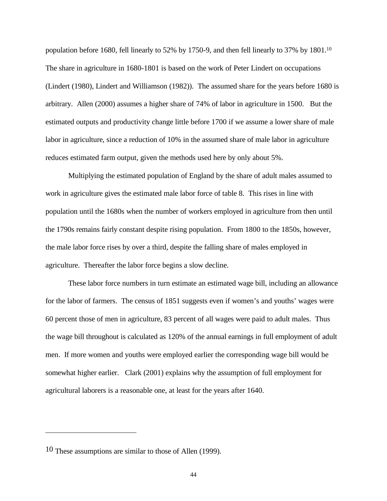population before 1680, fell linearly to 52% by 1750-9, and then fell linearly to 37% by 1801.<sup>10</sup> The share in agriculture in 1680-1801 is based on the work of Peter Lindert on occupations (Lindert (1980), Lindert and Williamson (1982)). The assumed share for the years before 1680 is arbitrary. Allen (2000) assumes a higher share of 74% of labor in agriculture in 1500. But the estimated outputs and productivity change little before 1700 if we assume a lower share of male labor in agriculture, since a reduction of 10% in the assumed share of male labor in agriculture reduces estimated farm output, given the methods used here by only about 5%.

Multiplying the estimated population of England by the share of adult males assumed to work in agriculture gives the estimated male labor force of table 8. This rises in line with population until the 1680s when the number of workers employed in agriculture from then until the 1790s remains fairly constant despite rising population. From 1800 to the 1850s, however, the male labor force rises by over a third, despite the falling share of males employed in agriculture. Thereafter the labor force begins a slow decline.

These labor force numbers in turn estimate an estimated wage bill, including an allowance for the labor of farmers. The census of 1851 suggests even if women's and youths' wages were 60 percent those of men in agriculture, 83 percent of all wages were paid to adult males. Thus the wage bill throughout is calculated as 120% of the annual earnings in full employment of adult men. If more women and youths were employed earlier the corresponding wage bill would be somewhat higher earlier. Clark (2001) explains why the assumption of full employment for agricultural laborers is a reasonable one, at least for the years after 1640.

 $\overline{a}$ 

<sup>10</sup> These assumptions are similar to those of Allen (1999).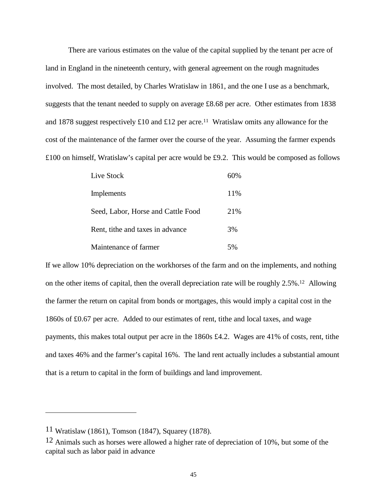There are various estimates on the value of the capital supplied by the tenant per acre of land in England in the nineteenth century, with general agreement on the rough magnitudes involved. The most detailed, by Charles Wratislaw in 1861, and the one I use as a benchmark, suggests that the tenant needed to supply on average £8.68 per acre. Other estimates from 1838 and 1878 suggest respectively £10 and £12 per acre.<sup>11</sup> Wratislaw omits any allowance for the cost of the maintenance of the farmer over the course of the year. Assuming the farmer expends £100 on himself, Wratislaw's capital per acre would be £9.2. This would be composed as follows

| Live Stock                         | $60\%$ |
|------------------------------------|--------|
| Implements                         | 11%    |
| Seed, Labor, Horse and Cattle Food | 21\%   |
| Rent, tithe and taxes in advance   | 3%     |
| Maintenance of farmer              | 5%     |

If we allow 10% depreciation on the workhorses of the farm and on the implements, and nothing on the other items of capital, then the overall depreciation rate will be roughly 2.5%.12 Allowing the farmer the return on capital from bonds or mortgages, this would imply a capital cost in the 1860s of £0.67 per acre. Added to our estimates of rent, tithe and local taxes, and wage payments, this makes total output per acre in the 1860s £4.2. Wages are 41% of costs, rent, tithe and taxes 46% and the farmer's capital 16%. The land rent actually includes a substantial amount that is a return to capital in the form of buildings and land improvement.

<sup>11</sup> Wratislaw (1861), Tomson (1847), Squarey (1878).

<sup>12</sup> Animals such as horses were allowed a higher rate of depreciation of 10%, but some of the capital such as labor paid in advance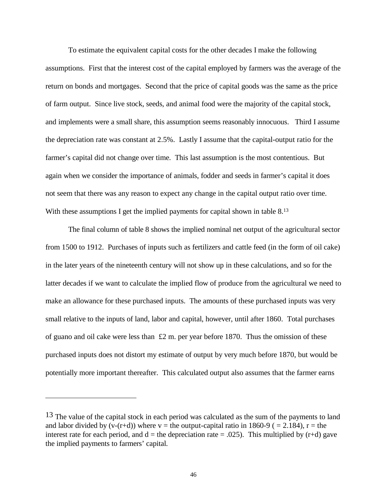To estimate the equivalent capital costs for the other decades I make the following assumptions. First that the interest cost of the capital employed by farmers was the average of the return on bonds and mortgages. Second that the price of capital goods was the same as the price of farm output. Since live stock, seeds, and animal food were the majority of the capital stock, and implements were a small share, this assumption seems reasonably innocuous. Third I assume the depreciation rate was constant at 2.5%. Lastly I assume that the capital-output ratio for the farmer's capital did not change over time. This last assumption is the most contentious. But again when we consider the importance of animals, fodder and seeds in farmer's capital it does not seem that there was any reason to expect any change in the capital output ratio over time. With these assumptions I get the implied payments for capital shown in table 8.<sup>13</sup>

The final column of table 8 shows the implied nominal net output of the agricultural sector from 1500 to 1912. Purchases of inputs such as fertilizers and cattle feed (in the form of oil cake) in the later years of the nineteenth century will not show up in these calculations, and so for the latter decades if we want to calculate the implied flow of produce from the agricultural we need to make an allowance for these purchased inputs. The amounts of these purchased inputs was very small relative to the inputs of land, labor and capital, however, until after 1860. Total purchases of guano and oil cake were less than  $£2$  m. per year before 1870. Thus the omission of these purchased inputs does not distort my estimate of output by very much before 1870, but would be potentially more important thereafter. This calculated output also assumes that the farmer earns

<sup>&</sup>lt;sup>13</sup> The value of the capital stock in each period was calculated as the sum of the payments to land and labor divided by  $(v-(r+d))$  where  $v =$  the output-capital ratio in 1860-9 ( = 2.184),  $r =$  the interest rate for each period, and  $d =$  the depreciation rate = .025). This multiplied by (r+d) gave the implied payments to farmers' capital.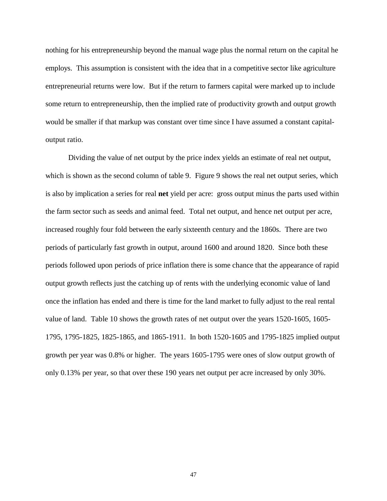nothing for his entrepreneurship beyond the manual wage plus the normal return on the capital he employs. This assumption is consistent with the idea that in a competitive sector like agriculture entrepreneurial returns were low. But if the return to farmers capital were marked up to include some return to entrepreneurship, then the implied rate of productivity growth and output growth would be smaller if that markup was constant over time since I have assumed a constant capitaloutput ratio.

Dividing the value of net output by the price index yields an estimate of real net output, which is shown as the second column of table 9. Figure 9 shows the real net output series, which is also by implication a series for real **net** yield per acre: gross output minus the parts used within the farm sector such as seeds and animal feed. Total net output, and hence net output per acre, increased roughly four fold between the early sixteenth century and the 1860s. There are two periods of particularly fast growth in output, around 1600 and around 1820. Since both these periods followed upon periods of price inflation there is some chance that the appearance of rapid output growth reflects just the catching up of rents with the underlying economic value of land once the inflation has ended and there is time for the land market to fully adjust to the real rental value of land. Table 10 shows the growth rates of net output over the years 1520-1605, 1605- 1795, 1795-1825, 1825-1865, and 1865-1911. In both 1520-1605 and 1795-1825 implied output growth per year was 0.8% or higher. The years 1605-1795 were ones of slow output growth of only 0.13% per year, so that over these 190 years net output per acre increased by only 30%.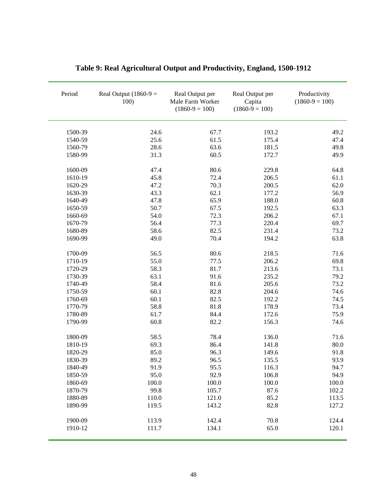| Period  | Real Output $(1860-9)$ =<br>100) | Real Output per<br>Male Farm Worker<br>$(1860-9=100)$ | Real Output per<br>Capita<br>$(1860-9=100)$ | Productivity<br>$(1860-9=100)$ |  |
|---------|----------------------------------|-------------------------------------------------------|---------------------------------------------|--------------------------------|--|
| 1500-39 | 24.6                             | 67.7                                                  | 193.2                                       | 49.2                           |  |
| 1540-59 | 25.6                             | 61.5                                                  | 175.4                                       | 47.4                           |  |
| 1560-79 | 28.6                             | 63.6                                                  | 181.5                                       | 49.8                           |  |
| 1580-99 | 31.3                             | 60.5                                                  | 172.7                                       | 49.9                           |  |
| 1600-09 | 47.4                             | 80.6                                                  | 229.8                                       | 64.8                           |  |
| 1610-19 | 45.8                             | 72.4                                                  | 206.5                                       | 61.1                           |  |
| 1620-29 | 47.2                             | 70.3                                                  | 200.5                                       | 62.0                           |  |
| 1630-39 | 43.3                             | 62.1                                                  | 177.2                                       | 56.9                           |  |
| 1640-49 | 47.8                             | 65.9                                                  | 188.0                                       | 60.8                           |  |
| 1650-59 | 50.7                             | 67.5                                                  | 192.5                                       | 63.3                           |  |
| 1660-69 | 54.0                             | 72.3                                                  | 206.2                                       | 67.1                           |  |
| 1670-79 | 56.4                             | 77.3                                                  | 220.4                                       | 69.7                           |  |
| 1680-89 | 58.6                             | 82.5                                                  | 231.4                                       | 73.2                           |  |
| 1690-99 | 49.0                             | 70.4                                                  | 194.2                                       | 63.8                           |  |
| 1700-09 | 56.5                             | 80.6                                                  | 218.5                                       | 71.6                           |  |
| 1710-19 | 55.0                             | 77.5                                                  | 206.2                                       | 69.8                           |  |
| 1720-29 | 58.3                             | 81.7                                                  | 213.6                                       | 73.1                           |  |
| 1730-39 | 63.1                             | 91.6                                                  | 235.2                                       | 79.2                           |  |
| 1740-49 | 58.4                             | 81.6                                                  | 205.6                                       | 73.2                           |  |
| 1750-59 | 60.1                             | 82.8                                                  | 204.6                                       | 74.6                           |  |
| 1760-69 | 60.1                             | 82.5                                                  | 192.2                                       | 74.5                           |  |
| 1770-79 | 58.8                             | 81.8                                                  | 178.9                                       | 73.4                           |  |
| 1780-89 | 61.7                             | 84.4                                                  | 172.6                                       | 75.9                           |  |
| 1790-99 | 60.8                             | 82.2                                                  | 156.3                                       | 74.6                           |  |
| 1800-09 | 58.5                             | 78.4                                                  | 136.0                                       | 71.6                           |  |
| 1810-19 | 69.3                             | 86.4                                                  | 141.8                                       | 80.0                           |  |
| 1820-29 | 85.0                             | 96.3                                                  | 149.6                                       | 91.8                           |  |
| 1830-39 | 89.2                             | 96.5                                                  | 135.5                                       | 93.9                           |  |
| 1840-49 | 91.9                             | 95.5                                                  | 116.3                                       | 94.7                           |  |
| 1850-59 | 95.0                             | 92.9                                                  | 106.8                                       | 94.9                           |  |
| 1860-69 | 100.0                            | 100.0                                                 | 100.0                                       | 100.0                          |  |
| 1870-79 | 99.8                             | 105.7                                                 | 87.6                                        | 102.2                          |  |
| 1880-89 | 110.0                            | 121.0                                                 | 85.2                                        | 113.5                          |  |
| 1890-99 | 119.5                            | 143.2                                                 | 82.8                                        | 127.2                          |  |
| 1900-09 | 113.9                            | 142.4                                                 | 70.8                                        | 124.4                          |  |
| 1910-12 | 111.7                            | 134.1                                                 | 65.0                                        | 120.1                          |  |

# **Table 9: Real Agricultural Output and Productivity, England, 1500-1912**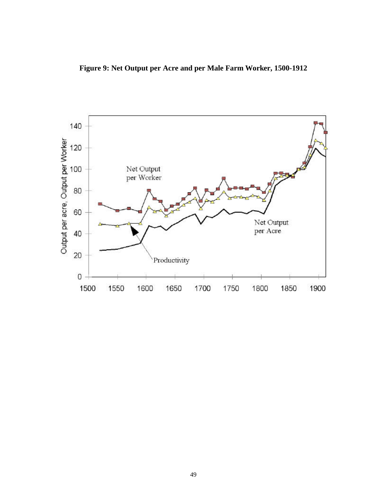**Figure 9: Net Output per Acre and per Male Farm Worker, 1500-1912** 

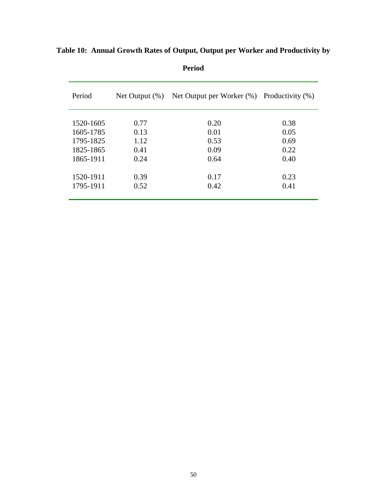| Period    | Net Output $(\%)$ | Net Output per Worker $(\%)$ Productivity $(\%)$ |      |
|-----------|-------------------|--------------------------------------------------|------|
| 1520-1605 | 0.77              | 0.20                                             | 0.38 |
| 1605-1785 | 0.13              | 0.01                                             | 0.05 |
| 1795-1825 | 1.12              | 0.53                                             | 0.69 |
| 1825-1865 | 0.41              | 0.09                                             | 0.22 |
| 1865-1911 | 0.24              | 0.64                                             | 0.40 |
| 1520-1911 | 0.39              | 0.17                                             | 0.23 |
| 1795-1911 | 0.52              | 0.42                                             | 0.41 |
|           |                   |                                                  |      |

**Table 10: Annual Growth Rates of Output, Output per Worker and Productivity by** 

**Period**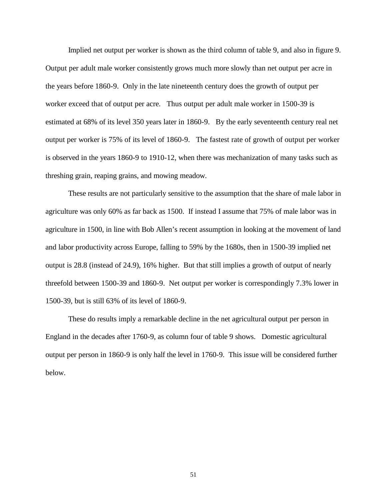Implied net output per worker is shown as the third column of table 9, and also in figure 9. Output per adult male worker consistently grows much more slowly than net output per acre in the years before 1860-9. Only in the late nineteenth century does the growth of output per worker exceed that of output per acre. Thus output per adult male worker in 1500-39 is estimated at 68% of its level 350 years later in 1860-9. By the early seventeenth century real net output per worker is 75% of its level of 1860-9. The fastest rate of growth of output per worker is observed in the years 1860-9 to 1910-12, when there was mechanization of many tasks such as threshing grain, reaping grains, and mowing meadow.

These results are not particularly sensitive to the assumption that the share of male labor in agriculture was only 60% as far back as 1500. If instead I assume that 75% of male labor was in agriculture in 1500, in line with Bob Allen's recent assumption in looking at the movement of land and labor productivity across Europe, falling to 59% by the 1680s, then in 1500-39 implied net output is 28.8 (instead of 24.9), 16% higher. But that still implies a growth of output of nearly threefold between 1500-39 and 1860-9. Net output per worker is correspondingly 7.3% lower in 1500-39, but is still 63% of its level of 1860-9.

These do results imply a remarkable decline in the net agricultural output per person in England in the decades after 1760-9, as column four of table 9 shows. Domestic agricultural output per person in 1860-9 is only half the level in 1760-9. This issue will be considered further below.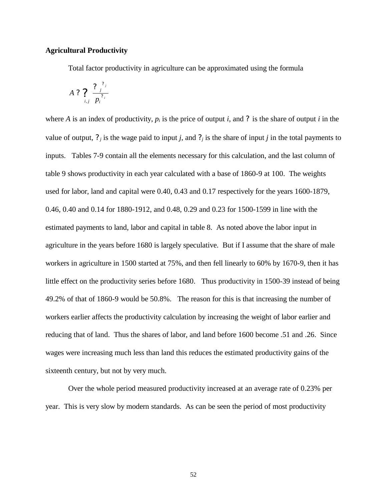## **Agricultural Productivity**

Total factor productivity in agriculture can be approximated using the formula

$$
A ? \bigg| \frac{2 \int_{i,j}^{2} p_i^{2} p_i^{2}}{p_i^{2} p_i^{2}}
$$

where *A* is an index of productivity,  $p_i$  is the price of output *i*, and ? is the share of output *i* in the value of output,  $?$  *j* is the wage paid to input *j*, and  $?$  *j* is the share of input *j* in the total payments to inputs. Tables 7-9 contain all the elements necessary for this calculation, and the last column of table 9 shows productivity in each year calculated with a base of 1860-9 at 100. The weights used for labor, land and capital were 0.40, 0.43 and 0.17 respectively for the years 1600-1879, 0.46, 0.40 and 0.14 for 1880-1912, and 0.48, 0.29 and 0.23 for 1500-1599 in line with the estimated payments to land, labor and capital in table 8. As noted above the labor input in agriculture in the years before 1680 is largely speculative. But if I assume that the share of male workers in agriculture in 1500 started at 75%, and then fell linearly to 60% by 1670-9, then it has little effect on the productivity series before 1680. Thus productivity in 1500-39 instead of being 49.2% of that of 1860-9 would be 50.8%. The reason for this is that increasing the number of workers earlier affects the productivity calculation by increasing the weight of labor earlier and reducing that of land. Thus the shares of labor, and land before 1600 become .51 and .26. Since wages were increasing much less than land this reduces the estimated productivity gains of the sixteenth century, but not by very much.

Over the whole period measured productivity increased at an average rate of 0.23% per year. This is very slow by modern standards. As can be seen the period of most productivity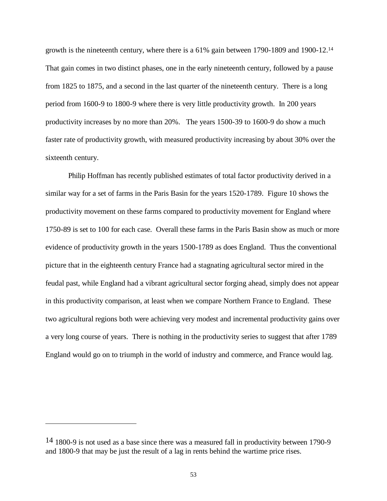growth is the nineteenth century, where there is a 61% gain between 1790-1809 and 1900-12.<sup>14</sup> That gain comes in two distinct phases, one in the early nineteenth century, followed by a pause from 1825 to 1875, and a second in the last quarter of the nineteenth century. There is a long period from 1600-9 to 1800-9 where there is very little productivity growth. In 200 years productivity increases by no more than 20%. The years 1500-39 to 1600-9 do show a much faster rate of productivity growth, with measured productivity increasing by about 30% over the sixteenth century.

Philip Hoffman has recently published estimates of total factor productivity derived in a similar way for a set of farms in the Paris Basin for the years 1520-1789. Figure 10 shows the productivity movement on these farms compared to productivity movement for England where 1750-89 is set to 100 for each case. Overall these farms in the Paris Basin show as much or more evidence of productivity growth in the years 1500-1789 as does England. Thus the conventional picture that in the eighteenth century France had a stagnating agricultural sector mired in the feudal past, while England had a vibrant agricultural sector forging ahead, simply does not appear in this productivity comparison, at least when we compare Northern France to England. These two agricultural regions both were achieving very modest and incremental productivity gains over a very long course of years. There is nothing in the productivity series to suggest that after 1789 England would go on to triumph in the world of industry and commerce, and France would lag.

<sup>&</sup>lt;sup>14</sup> 1800-9 is not used as a base since there was a measured fall in productivity between 1790-9 and 1800-9 that may be just the result of a lag in rents behind the wartime price rises.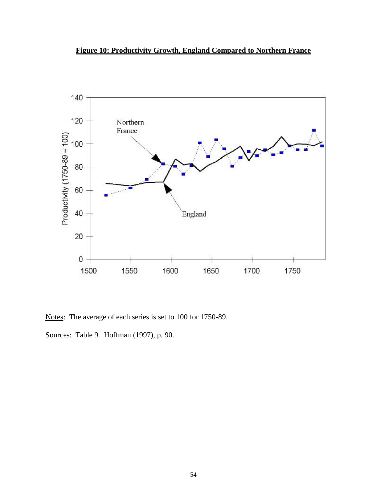## **Figure 10: Productivity Growth, England Compared to Northern France**



Notes: The average of each series is set to 100 for 1750-89.

Sources: Table 9. Hoffman (1997), p. 90.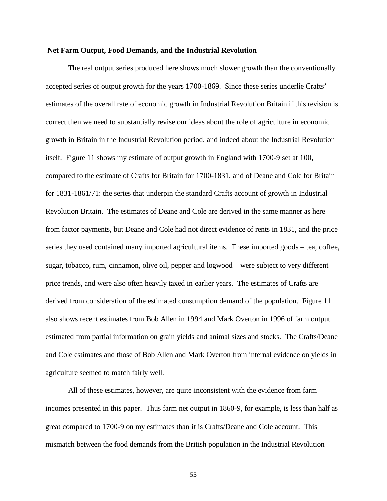#### **Net Farm Output, Food Demands, and the Industrial Revolution**

The real output series produced here shows much slower growth than the conventionally accepted series of output growth for the years 1700-1869. Since these series underlie Crafts' estimates of the overall rate of economic growth in Industrial Revolution Britain if this revision is correct then we need to substantially revise our ideas about the role of agriculture in economic growth in Britain in the Industrial Revolution period, and indeed about the Industrial Revolution itself. Figure 11 shows my estimate of output growth in England with 1700-9 set at 100, compared to the estimate of Crafts for Britain for 1700-1831, and of Deane and Cole for Britain for 1831-1861/71: the series that underpin the standard Crafts account of growth in Industrial Revolution Britain. The estimates of Deane and Cole are derived in the same manner as here from factor payments, but Deane and Cole had not direct evidence of rents in 1831, and the price series they used contained many imported agricultural items. These imported goods – tea, coffee, sugar, tobacco, rum, cinnamon, olive oil, pepper and logwood – were subject to very different price trends, and were also often heavily taxed in earlier years. The estimates of Crafts are derived from consideration of the estimated consumption demand of the population. Figure 11 also shows recent estimates from Bob Allen in 1994 and Mark Overton in 1996 of farm output estimated from partial information on grain yields and animal sizes and stocks. The Crafts/Deane and Cole estimates and those of Bob Allen and Mark Overton from internal evidence on yields in agriculture seemed to match fairly well.

All of these estimates, however, are quite inconsistent with the evidence from farm incomes presented in this paper. Thus farm net output in 1860-9, for example, is less than half as great compared to 1700-9 on my estimates than it is Crafts/Deane and Cole account. This mismatch between the food demands from the British population in the Industrial Revolution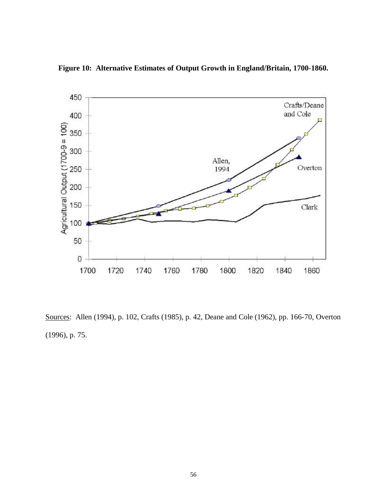

**Figure 10: Alternative Estimates of Output Growth in England/Britain, 1700-1860.**

Sources: Allen (1994), p. 102, Crafts (1985), p. 42, Deane and Cole (1962), pp. 166-70, Overton (1996), p. 75.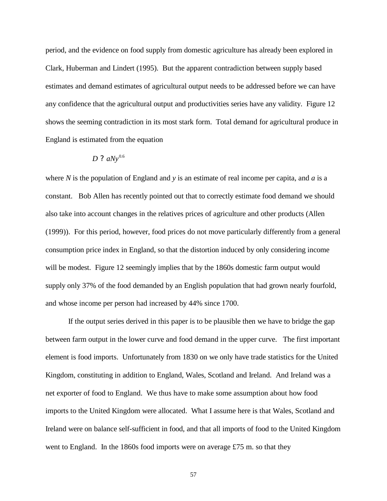period, and the evidence on food supply from domestic agriculture has already been explored in Clark, Huberman and Lindert (1995). But the apparent contradiction between supply based estimates and demand estimates of agricultural output needs to be addressed before we can have any confidence that the agricultural output and productivities series have any validity. Figure 12 shows the seeming contradiction in its most stark form. Total demand for agricultural produce in England is estimated from the equation

## $D$  ?  $aNv^{0.6}$

where *N* is the population of England and *y* is an estimate of real income per capita, and *a* is a constant. Bob Allen has recently pointed out that to correctly estimate food demand we should also take into account changes in the relatives prices of agriculture and other products (Allen (1999)). For this period, however, food prices do not move particularly differently from a general consumption price index in England, so that the distortion induced by only considering income will be modest. Figure 12 seemingly implies that by the 1860s domestic farm output would supply only 37% of the food demanded by an English population that had grown nearly fourfold, and whose income per person had increased by 44% since 1700.

If the output series derived in this paper is to be plausible then we have to bridge the gap between farm output in the lower curve and food demand in the upper curve. The first important element is food imports. Unfortunately from 1830 on we only have trade statistics for the United Kingdom, constituting in addition to England, Wales, Scotland and Ireland. And Ireland was a net exporter of food to England. We thus have to make some assumption about how food imports to the United Kingdom were allocated. What I assume here is that Wales, Scotland and Ireland were on balance self-sufficient in food, and that all imports of food to the United Kingdom went to England. In the 1860s food imports were on average £75 m. so that they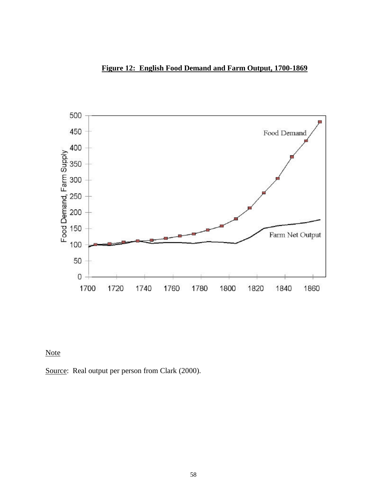



Note

Source: Real output per person from Clark (2000).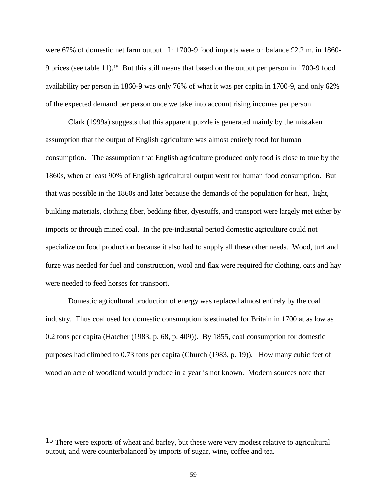were 67% of domestic net farm output. In 1700-9 food imports were on balance £2.2 m. in 1860- 9 prices (see table 11).15 But this still means that based on the output per person in 1700-9 food availability per person in 1860-9 was only 76% of what it was per capita in 1700-9, and only 62% of the expected demand per person once we take into account rising incomes per person.

Clark (1999a) suggests that this apparent puzzle is generated mainly by the mistaken assumption that the output of English agriculture was almost entirely food for human consumption. The assumption that English agriculture produced only food is close to true by the 1860s, when at least 90% of English agricultural output went for human food consumption. But that was possible in the 1860s and later because the demands of the population for heat, light, building materials, clothing fiber, bedding fiber, dyestuffs, and transport were largely met either by imports or through mined coal. In the pre-industrial period domestic agriculture could not specialize on food production because it also had to supply all these other needs. Wood, turf and furze was needed for fuel and construction, wool and flax were required for clothing, oats and hay were needed to feed horses for transport.

Domestic agricultural production of energy was replaced almost entirely by the coal industry. Thus coal used for domestic consumption is estimated for Britain in 1700 at as low as 0.2 tons per capita (Hatcher (1983, p. 68, p. 409)). By 1855, coal consumption for domestic purposes had climbed to 0.73 tons per capita (Church (1983, p. 19)). How many cubic feet of wood an acre of woodland would produce in a year is not known. Modern sources note that

<sup>&</sup>lt;sup>15</sup> There were exports of wheat and barley, but these were very modest relative to agricultural output, and were counterbalanced by imports of sugar, wine, coffee and tea.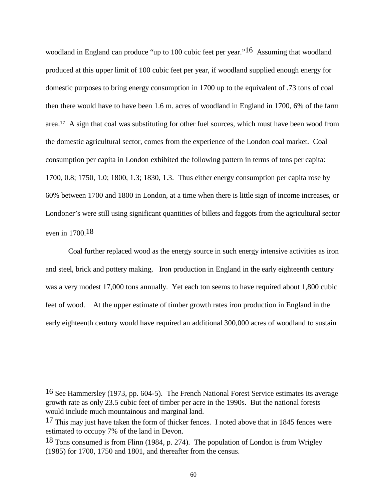woodland in England can produce "up to 100 cubic feet per year."<sup>16</sup> Assuming that woodland produced at this upper limit of 100 cubic feet per year, if woodland supplied enough energy for domestic purposes to bring energy consumption in 1700 up to the equivalent of .73 tons of coal then there would have to have been 1.6 m. acres of woodland in England in 1700, 6% of the farm area.17 A sign that coal was substituting for other fuel sources, which must have been wood from the domestic agricultural sector, comes from the experience of the London coal market. Coal consumption per capita in London exhibited the following pattern in terms of tons per capita: 1700, 0.8; 1750, 1.0; 1800, 1.3; 1830, 1.3. Thus either energy consumption per capita rose by 60% between 1700 and 1800 in London, at a time when there is little sign of income increases, or Londoner's were still using significant quantities of billets and faggots from the agricultural sector even in 1700.18

Coal further replaced wood as the energy source in such energy intensive activities as iron and steel, brick and pottery making. Iron production in England in the early eighteenth century was a very modest 17,000 tons annually. Yet each ton seems to have required about 1,800 cubic feet of wood. At the upper estimate of timber growth rates iron production in England in the early eighteenth century would have required an additional 300,000 acres of woodland to sustain

<sup>16</sup> See Hammersley (1973, pp. 604-5). The French National Forest Service estimates its average growth rate as only 23.5 cubic feet of timber per acre in the 1990s. But the national forests would include much mountainous and marginal land.

<sup>&</sup>lt;sup>17</sup> This may just have taken the form of thicker fences. I noted above that in 1845 fences were estimated to occupy 7% of the land in Devon.

<sup>18</sup> Tons consumed is from Flinn (1984, p. 274). The population of London is from Wrigley (1985) for 1700, 1750 and 1801, and thereafter from the census.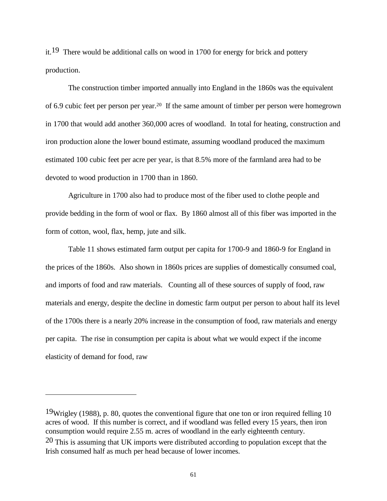it.19 There would be additional calls on wood in 1700 for energy for brick and pottery production.

The construction timber imported annually into England in the 1860s was the equivalent of 6.9 cubic feet per person per year.20 If the same amount of timber per person were homegrown in 1700 that would add another 360,000 acres of woodland. In total for heating, construction and iron production alone the lower bound estimate, assuming woodland produced the maximum estimated 100 cubic feet per acre per year, is that 8.5% more of the farmland area had to be devoted to wood production in 1700 than in 1860.

Agriculture in 1700 also had to produce most of the fiber used to clothe people and provide bedding in the form of wool or flax. By 1860 almost all of this fiber was imported in the form of cotton, wool, flax, hemp, jute and silk.

Table 11 shows estimated farm output per capita for 1700-9 and 1860-9 for England in the prices of the 1860s. Also shown in 1860s prices are supplies of domestically consumed coal, and imports of food and raw materials. Counting all of these sources of supply of food, raw materials and energy, despite the decline in domestic farm output per person to about half its level of the 1700s there is a nearly 20% increase in the consumption of food, raw materials and energy per capita. The rise in consumption per capita is about what we would expect if the income elasticity of demand for food, raw

<sup>19</sup>Wrigley (1988), p. 80, quotes the conventional figure that one ton or iron required felling 10 acres of wood. If this number is correct, and if woodland was felled every 15 years, then iron consumption would require 2.55 m. acres of woodland in the early eighteenth century. 20 This is assuming that UK imports were distributed according to population except that the Irish consumed half as much per head because of lower incomes.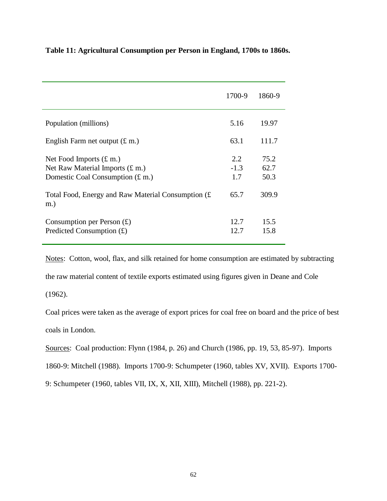|                                                                                                                 | 1700-9                | 1860-9               |
|-----------------------------------------------------------------------------------------------------------------|-----------------------|----------------------|
| Population (millions)                                                                                           | 5.16                  | 19.97                |
| English Farm net output $(\text{\pounds m.})$                                                                   | 63.1                  | 111.7                |
| Net Food Imports $(E \, \text{m})$<br>Net Raw Material Imports $(f \, m)$<br>Domestic Coal Consumption $(f.m.)$ | 2.2.<br>$-1.3$<br>1.7 | 75.2<br>62.7<br>50.3 |
| Total Food, Energy and Raw Material Consumption $(E)$<br>$m.$ )                                                 | 65.7                  | 309.9                |
| Consumption per Person $(E)$<br>Predicted Consumption $(f)$                                                     | 12.7<br>12.7          | 15.5<br>15.8         |

**Table 11: Agricultural Consumption per Person in England, 1700s to 1860s.**

Notes: Cotton, wool, flax, and silk retained for home consumption are estimated by subtracting the raw material content of textile exports estimated using figures given in Deane and Cole (1962).

Coal prices were taken as the average of export prices for coal free on board and the price of best coals in London.

Sources: Coal production: Flynn (1984, p. 26) and Church (1986, pp. 19, 53, 85-97). Imports

1860-9: Mitchell (1988). Imports 1700-9: Schumpeter (1960, tables XV, XVII). Exports 1700-

9: Schumpeter (1960, tables VII, IX, X, XII, XIII), Mitchell (1988), pp. 221-2).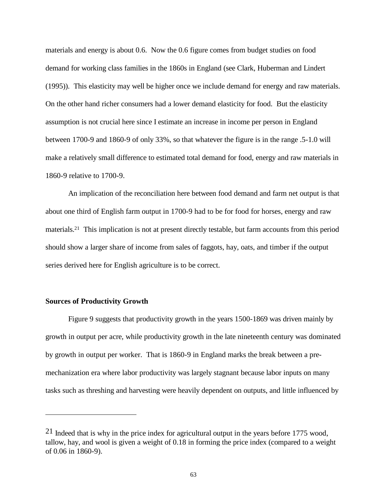materials and energy is about 0.6. Now the 0.6 figure comes from budget studies on food demand for working class families in the 1860s in England (see Clark, Huberman and Lindert (1995)). This elasticity may well be higher once we include demand for energy and raw materials. On the other hand richer consumers had a lower demand elasticity for food. But the elasticity assumption is not crucial here since I estimate an increase in income per person in England between 1700-9 and 1860-9 of only 33%, so that whatever the figure is in the range .5-1.0 will make a relatively small difference to estimated total demand for food, energy and raw materials in 1860-9 relative to 1700-9.

An implication of the reconciliation here between food demand and farm net output is that about one third of English farm output in 1700-9 had to be for food for horses, energy and raw materials.21 This implication is not at present directly testable, but farm accounts from this period should show a larger share of income from sales of faggots, hay, oats, and timber if the output series derived here for English agriculture is to be correct.

## **Sources of Productivity Growth**

-

Figure 9 suggests that productivity growth in the years 1500-1869 was driven mainly by growth in output per acre, while productivity growth in the late nineteenth century was dominated by growth in output per worker. That is 1860-9 in England marks the break between a premechanization era where labor productivity was largely stagnant because labor inputs on many tasks such as threshing and harvesting were heavily dependent on outputs, and little influenced by

 $21$  Indeed that is why in the price index for agricultural output in the years before 1775 wood, tallow, hay, and wool is given a weight of 0.18 in forming the price index (compared to a weight of 0.06 in 1860-9).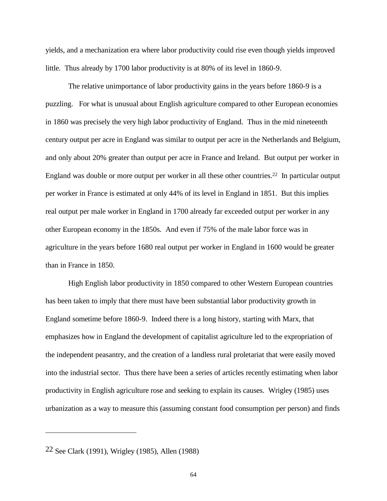yields, and a mechanization era where labor productivity could rise even though yields improved little. Thus already by 1700 labor productivity is at 80% of its level in 1860-9.

The relative unimportance of labor productivity gains in the years before 1860-9 is a puzzling. For what is unusual about English agriculture compared to other European economies in 1860 was precisely the very high labor productivity of England. Thus in the mid nineteenth century output per acre in England was similar to output per acre in the Netherlands and Belgium, and only about 20% greater than output per acre in France and Ireland. But output per worker in England was double or more output per worker in all these other countries.<sup>22</sup> In particular output per worker in France is estimated at only 44% of its level in England in 1851. But this implies real output per male worker in England in 1700 already far exceeded output per worker in any other European economy in the 1850s. And even if 75% of the male labor force was in agriculture in the years before 1680 real output per worker in England in 1600 would be greater than in France in 1850.

High English labor productivity in 1850 compared to other Western European countries has been taken to imply that there must have been substantial labor productivity growth in England sometime before 1860-9. Indeed there is a long history, starting with Marx, that emphasizes how in England the development of capitalist agriculture led to the expropriation of the independent peasantry, and the creation of a landless rural proletariat that were easily moved into the industrial sector. Thus there have been a series of articles recently estimating when labor productivity in English agriculture rose and seeking to explain its causes. Wrigley (1985) uses urbanization as a way to measure this (assuming constant food consumption per person) and finds

<sup>22</sup> See Clark (1991), Wrigley (1985), Allen (1988)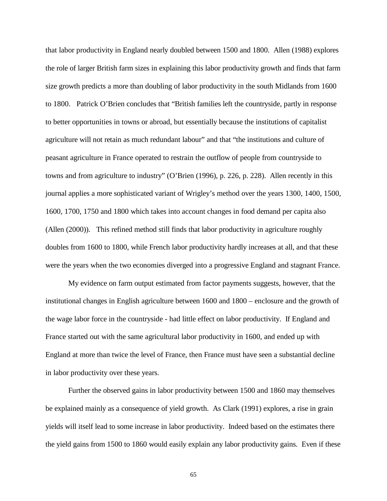that labor productivity in England nearly doubled between 1500 and 1800. Allen (1988) explores the role of larger British farm sizes in explaining this labor productivity growth and finds that farm size growth predicts a more than doubling of labor productivity in the south Midlands from 1600 to 1800. Patrick O'Brien concludes that "British families left the countryside, partly in response to better opportunities in towns or abroad, but essentially because the institutions of capitalist agriculture will not retain as much redundant labour" and that "the institutions and culture of peasant agriculture in France operated to restrain the outflow of people from countryside to towns and from agriculture to industry" (O'Brien (1996), p. 226, p. 228). Allen recently in this journal applies a more sophisticated variant of Wrigley's method over the years 1300, 1400, 1500, 1600, 1700, 1750 and 1800 which takes into account changes in food demand per capita also (Allen (2000)). This refined method still finds that labor productivity in agriculture roughly doubles from 1600 to 1800, while French labor productivity hardly increases at all, and that these were the years when the two economies diverged into a progressive England and stagnant France.

My evidence on farm output estimated from factor payments suggests, however, that the institutional changes in English agriculture between 1600 and 1800 – enclosure and the growth of the wage labor force in the countryside - had little effect on labor productivity. If England and France started out with the same agricultural labor productivity in 1600, and ended up with England at more than twice the level of France, then France must have seen a substantial decline in labor productivity over these years.

Further the observed gains in labor productivity between 1500 and 1860 may themselves be explained mainly as a consequence of yield growth. As Clark (1991) explores, a rise in grain yields will itself lead to some increase in labor productivity. Indeed based on the estimates there the yield gains from 1500 to 1860 would easily explain any labor productivity gains. Even if these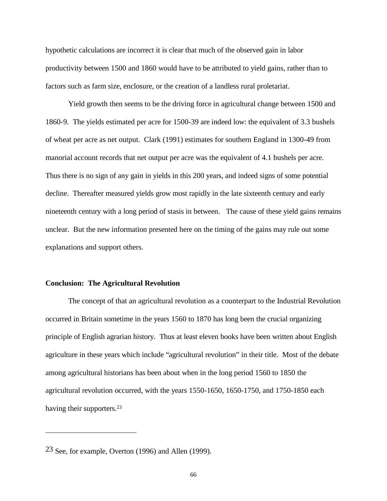hypothetic calculations are incorrect it is clear that much of the observed gain in labor productivity between 1500 and 1860 would have to be attributed to yield gains, rather than to factors such as farm size, enclosure, or the creation of a landless rural proletariat.

Yield growth then seems to be the driving force in agricultural change between 1500 and 1860-9. The yields estimated per acre for 1500-39 are indeed low: the equivalent of 3.3 bushels of wheat per acre as net output. Clark (1991) estimates for southern England in 1300-49 from manorial account records that net output per acre was the equivalent of 4.1 bushels per acre. Thus there is no sign of any gain in yields in this 200 years, and indeed signs of some potential decline. Thereafter measured yields grow most rapidly in the late sixteenth century and early nineteenth century with a long period of stasis in between. The cause of these yield gains remains unclear. But the new information presented here on the timing of the gains may rule out some explanations and support others.

## **Conclusion: The Agricultural Revolution**

The concept of that an agricultural revolution as a counterpart to the Industrial Revolution occurred in Britain sometime in the years 1560 to 1870 has long been the crucial organizing principle of English agrarian history. Thus at least eleven books have been written about English agriculture in these years which include "agricultural revolution" in their title. Most of the debate among agricultural historians has been about when in the long period 1560 to 1850 the agricultural revolution occurred, with the years 1550-1650, 1650-1750, and 1750-1850 each having their supporters.<sup>23</sup>

<sup>23</sup> See, for example, Overton (1996) and Allen (1999).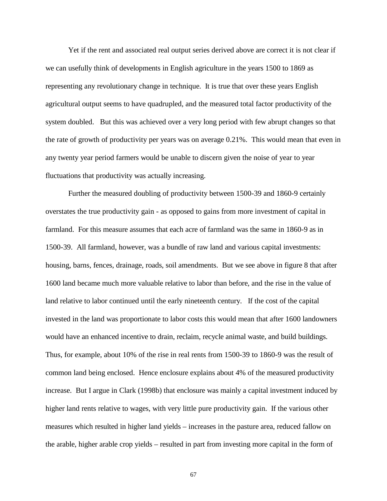Yet if the rent and associated real output series derived above are correct it is not clear if we can usefully think of developments in English agriculture in the years 1500 to 1869 as representing any revolutionary change in technique. It is true that over these years English agricultural output seems to have quadrupled, and the measured total factor productivity of the system doubled. But this was achieved over a very long period with few abrupt changes so that the rate of growth of productivity per years was on average 0.21%. This would mean that even in any twenty year period farmers would be unable to discern given the noise of year to year fluctuations that productivity was actually increasing.

Further the measured doubling of productivity between 1500-39 and 1860-9 certainly overstates the true productivity gain - as opposed to gains from more investment of capital in farmland. For this measure assumes that each acre of farmland was the same in 1860-9 as in 1500-39. All farmland, however, was a bundle of raw land and various capital investments: housing, barns, fences, drainage, roads, soil amendments. But we see above in figure 8 that after 1600 land became much more valuable relative to labor than before, and the rise in the value of land relative to labor continued until the early nineteenth century. If the cost of the capital invested in the land was proportionate to labor costs this would mean that after 1600 landowners would have an enhanced incentive to drain, reclaim, recycle animal waste, and build buildings. Thus, for example, about 10% of the rise in real rents from 1500-39 to 1860-9 was the result of common land being enclosed. Hence enclosure explains about 4% of the measured productivity increase. But I argue in Clark (1998b) that enclosure was mainly a capital investment induced by higher land rents relative to wages, with very little pure productivity gain. If the various other measures which resulted in higher land yields – increases in the pasture area, reduced fallow on the arable, higher arable crop yields – resulted in part from investing more capital in the form of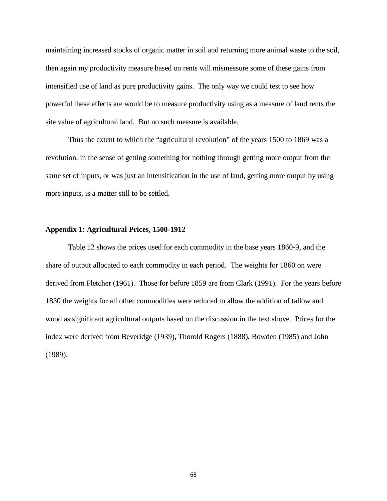maintaining increased stocks of organic matter in soil and returning more animal waste to the soil, then again my productivity measure based on rents will mismeasure some of these gains from intensified use of land as pure productivity gains. The only way we could test to see how powerful these effects are would be to measure productivity using as a measure of land rents the site value of agricultural land. But no such measure is available.

Thus the extent to which the "agricultural revolution" of the years 1500 to 1869 was a revolution, in the sense of getting something for nothing through getting more output from the same set of inputs, or was just an intensification in the use of land, getting more output by using more inputs, is a matter still to be settled.

## **Appendix 1: Agricultural Prices, 1500-1912**

Table 12 shows the prices used for each commodity in the base years 1860-9, and the share of output allocated to each commodity in each period. The weights for 1860 on were derived from Fletcher (1961). Those for before 1859 are from Clark (1991). For the years before 1830 the weights for all other commodities were reduced to allow the addition of tallow and wood as significant agricultural outputs based on the discussion in the text above. Prices for the index were derived from Beveridge (1939), Thorold Rogers (1888), Bowden (1985) and John (1989).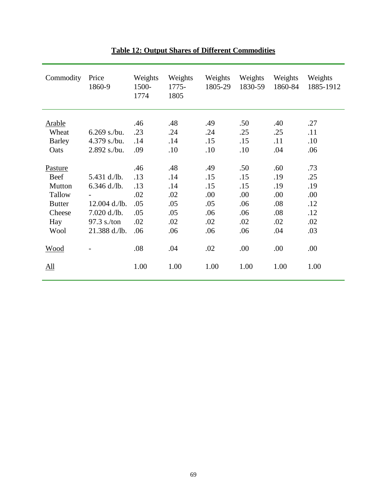| Commodity                               | Price<br>1860-9                  | Weights<br>1500-<br>1774 | Weights<br>$1775-$<br>1805 | Weights<br>1805-29 | Weights<br>1830-59 | Weights<br>1860-84 | Weights<br>1885-1912 |
|-----------------------------------------|----------------------------------|--------------------------|----------------------------|--------------------|--------------------|--------------------|----------------------|
| <b>Arable</b><br>Wheat<br><b>Barley</b> | $6.269$ s./bu.<br>$4.379$ s./bu. | .46<br>.23<br>.14        | .48<br>.24<br>.14          | .49<br>.24<br>.15  | .50<br>.25<br>.15  | .40<br>.25<br>.11  | .27<br>.11<br>.10    |
| Oats<br>Pasture                         | $2.892$ s./bu.                   | .09<br>.46               | .10<br>.48                 | .10<br>.49         | .10<br>.50         | .04<br>.60         | .06<br>.73           |
| Beef<br>Mutton<br>Tallow                | 5.431 d./lb.<br>$6.346$ d./lb.   | .13<br>.13<br>.02        | .14<br>.14<br>.02          | .15<br>.15<br>.00  | .15<br>.15<br>.00  | .19<br>.19<br>.00  | .25<br>.19           |
| <b>Butter</b><br>Cheese                 | $12.004$ d./lb.<br>7.020 d./lb.  | .05<br>.05               | .05<br>.05                 | .05<br>.06         | .06<br>.06         | .08<br>.08         | .00<br>.12<br>.12    |
| Hay<br>Wool                             | $97.3$ s./ton<br>21.388 d./lb.   | .02<br>.06               | .02<br>.06                 | .02<br>.06         | .02<br>.06         | .02<br>.04         | .02<br>.03           |
| <b>Wood</b>                             |                                  | .08                      | .04                        | .02                | .00                | .00                | .00                  |
| <u>All</u>                              |                                  | 1.00                     | 1.00                       | 1.00               | 1.00               | 1.00               | 1.00                 |

## **Table 12: Output Shares of Different Commodities**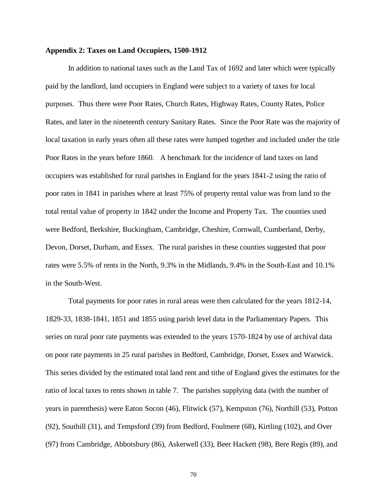#### **Appendix 2: Taxes on Land Occupiers, 1500-1912**

In addition to national taxes such as the Land Tax of 1692 and later which were typically paid by the landlord, land occupiers in England were subject to a variety of taxes for local purposes. Thus there were Poor Rates, Church Rates, Highway Rates, County Rates, Police Rates, and later in the nineteenth century Sanitary Rates. Since the Poor Rate was the majority of local taxation in early years often all these rates were lumped together and included under the title Poor Rates in the years before 1860. A benchmark for the incidence of land taxes on land occupiers was established for rural parishes in England for the years 1841-2 using the ratio of poor rates in 1841 in parishes where at least 75% of property rental value was from land to the total rental value of property in 1842 under the Income and Property Tax. The counties used were Bedford, Berkshire, Buckingham, Cambridge, Cheshire, Cornwall, Cumberland, Derby, Devon, Dorset, Durham, and Essex. The rural parishes in these counties suggested that poor rates were 5.5% of rents in the North, 9.3% in the Midlands, 9.4% in the South-East and 10.1% in the South-West.

Total payments for poor rates in rural areas were then calculated for the years 1812-14, 1829-33, 1838-1841, 1851 and 1855 using parish level data in the Parliamentary Papers. This series on rural poor rate payments was extended to the years 1570-1824 by use of archival data on poor rate payments in 25 rural parishes in Bedford, Cambridge, Dorset, Essex and Warwick. This series divided by the estimated total land rent and tithe of England gives the estimates for the ratio of local taxes to rents shown in table 7. The parishes supplying data (with the number of years in parenthesis) were Eaton Socon (46), Flitwick (57), Kempston (76), Northill (53), Potton (92), Southill (31), and Tempsford (39) from Bedford, Foulmere (68), Kirtling (102), and Over (97) from Cambridge, Abbotsbury (86), Askerwell (33), Beer Hackett (98), Bere Regis (89), and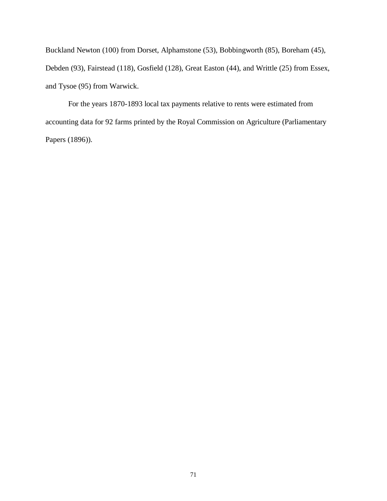Buckland Newton (100) from Dorset, Alphamstone (53), Bobbingworth (85), Boreham (45), Debden (93), Fairstead (118), Gosfield (128), Great Easton (44), and Writtle (25) from Essex, and Tysoe (95) from Warwick.

For the years 1870-1893 local tax payments relative to rents were estimated from accounting data for 92 farms printed by the Royal Commission on Agriculture (Parliamentary Papers (1896)).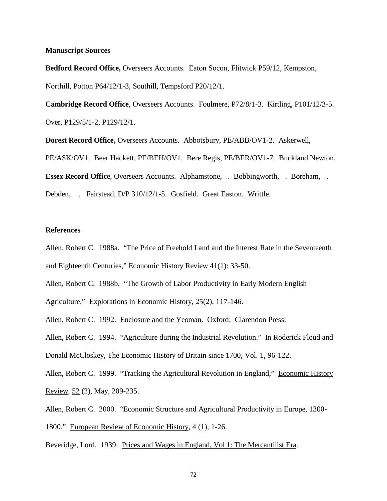#### **Manuscript Sources**

**Bedford Record Office,** Overseers Accounts. Eaton Socon, Flitwick P59/12, Kempston, Northill, Potton P64/12/1-3, Southill, Tempsford P20/12/1.

**Cambridge Record Office**, Overseers Accounts. Foulmere, P72/8/1-3. Kirtling, P101/12/3-5. Over, P129/5/1-2, P129/12/1.

**Dorest Record Office,** Overseers Accounts. Abbotsbury, PE/ABB/OV1-2. Askerwell, PE/ASK/OV1. Beer Hackett, PE/BEH/OV1. Bere Regis, PE/BER/OV1-7. Buckland Newton. **Essex Record Office**, Overseers Accounts. Alphamstone, . Bobbingworth, . Boreham, . Debden, . Fairstead, D/P 310/12/1-5. Gosfield. Great Easton. Writtle.

## **References**

Allen, Robert C. 1988a. "The Price of Freehold Land and the Interest Rate in the Seventeenth and Eighteenth Centuries," Economic History Review 41(1): 33-50.

Allen, Robert C. 1988b. "The Growth of Labor Productivity in Early Modern English

Agriculture," Explorations in Economic History, 25(2), 117-146.

Allen, Robert C. 1992. Enclosure and the Yeoman. Oxford: Clarendon Press.

Allen, Robert C. 1994. "Agriculture during the Industrial Revolution." In Roderick Floud and Donald McCloskey, The Economic History of Britain since 1700, Vol. 1, 96-122.

Allen, Robert C. 1999. "Tracking the Agricultural Revolution in England," Economic History Review, 52 (2), May, 209-235.

Allen, Robert C. 2000. "Economic Structure and Agricultural Productivity in Europe, 1300-

1800." European Review of Economic History, 4 (1), 1-26.

Beveridge, Lord. 1939. Prices and Wages in England, Vol 1: The Mercantilist Era.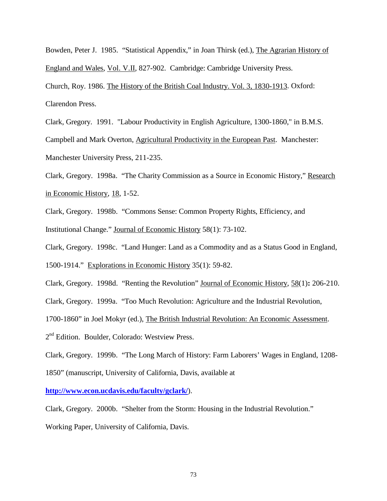Bowden, Peter J. 1985. "Statistical Appendix," in Joan Thirsk (ed.), The Agrarian History of England and Wales, Vol. V.II, 827-902. Cambridge: Cambridge University Press.

Church, Roy. 1986. The History of the British Coal Industry. Vol. 3, 1830-1913. Oxford: Clarendon Press.

Clark, Gregory. 1991. "Labour Productivity in English Agriculture, 1300-1860," in B.M.S.

Campbell and Mark Overton, Agricultural Productivity in the European Past. Manchester: Manchester University Press, 211-235.

Clark, Gregory. 1998a. "The Charity Commission as a Source in Economic History," Research in Economic History, 18, 1-52.

Clark, Gregory. 1998b. "Commons Sense: Common Property Rights, Efficiency, and Institutional Change." Journal of Economic History 58(1): 73-102.

Clark, Gregory. 1998c. "Land Hunger: Land as a Commodity and as a Status Good in England,

1500-1914." Explorations in Economic History 35(1): 59-82.

Clark, Gregory. 1998d. "Renting the Revolution" Journal of Economic History, 58(1)**:** 206-210.

Clark, Gregory. 1999a. "Too Much Revolution: Agriculture and the Industrial Revolution,

1700-1860" in Joel Mokyr (ed.), The British Industrial Revolution: An Economic Assessment.

2<sup>nd</sup> Edition. Boulder, Colorado: Westview Press.

Clark, Gregory. 1999b. "The Long March of History: Farm Laborers' Wages in England, 1208-

1850" (manuscript, University of California, Davis, available at

**http://www.econ.ucdavis.edu/faculty/gclark/**).

Clark, Gregory. 2000b. "Shelter from the Storm: Housing in the Industrial Revolution."

Working Paper, University of California, Davis.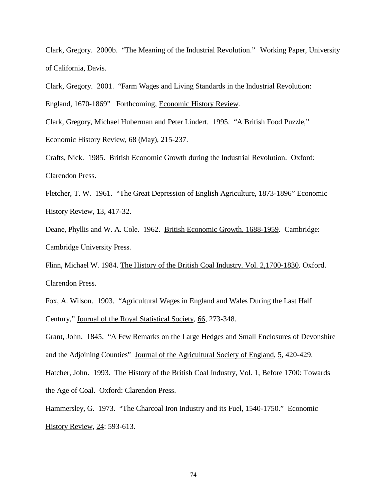Clark, Gregory. 2000b. "The Meaning of the Industrial Revolution." Working Paper, University of California, Davis.

Clark, Gregory. 2001. "Farm Wages and Living Standards in the Industrial Revolution: England, 1670-1869" Forthcoming, Economic History Review.

Clark, Gregory, Michael Huberman and Peter Lindert. 1995. "A British Food Puzzle,"

Economic History Review, 68 (May), 215-237.

Crafts, Nick. 1985. British Economic Growth during the Industrial Revolution. Oxford: Clarendon Press.

Fletcher, T. W. 1961. "The Great Depression of English Agriculture, 1873-1896" Economic History Review, 13, 417-32.

Deane, Phyllis and W. A. Cole. 1962. British Economic Growth, 1688-1959. Cambridge: Cambridge University Press.

Flinn, Michael W. 1984. The History of the British Coal Industry. Vol. 2,1700-1830. Oxford. Clarendon Press.

Fox, A. Wilson. 1903. "Agricultural Wages in England and Wales During the Last Half Century," Journal of the Royal Statistical Society, 66, 273-348.

Grant, John. 1845. "A Few Remarks on the Large Hedges and Small Enclosures of Devonshire and the Adjoining Counties" Journal of the Agricultural Society of England, 5, 420-429.

Hatcher, John. 1993. The History of the British Coal Industry, Vol. 1, Before 1700: Towards the Age of Coal. Oxford: Clarendon Press.

Hammersley, G. 1973. "The Charcoal Iron Industry and its Fuel, 1540-1750." Economic History Review, 24: 593-613.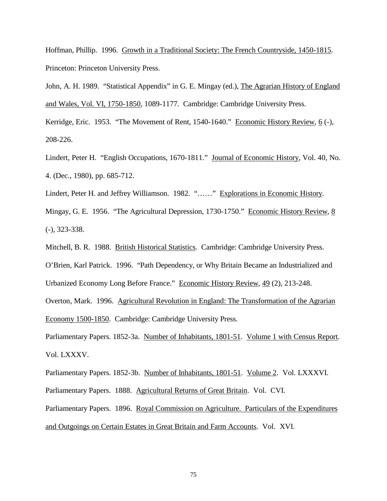Hoffman, Phillip. 1996. Growth in a Traditional Society: The French Countryside, 1450-1815. Princeton: Princeton University Press.

John, A. H. 1989. "Statistical Appendix" in G. E. Mingay (ed.), The Agrarian History of England and Wales, Vol. VI, 1750-1850, 1089-1177. Cambridge: Cambridge University Press.

Kerridge, Eric. 1953. "The Movement of Rent, 1540-1640." Economic History Review, 6 (-), 208-226.

Lindert, Peter H. "English Occupations, 1670-1811." Journal of Economic History, Vol. 40, No. 4. (Dec., 1980), pp. 685-712.

Lindert, Peter H. and Jeffrey Williamson. 1982. "……" Explorations in Economic History.

Mingay, G. E. 1956. "The Agricultural Depression, 1730-1750." Economic History Review, 8 (-), 323-338.

Mitchell, B. R. 1988. British Historical Statistics. Cambridge: Cambridge University Press. O'Brien, Karl Patrick. 1996. "Path Dependency, or Why Britain Became an Industrialized and Urbanized Economy Long Before France." Economic History Review, 49 (2), 213-248. Overton, Mark. 1996. Agricultural Revolution in England: The Transformation of the Agrarian Economy 1500-1850. Cambridge: Cambridge University Press.

Parliamentary Papers. 1852-3a. Number of Inhabitants, 1801-51. Volume 1 with Census Report. Vol. LXXXV.

Parliamentary Papers. 1852-3b. Number of Inhabitants, 1801-51. Volume 2. Vol. LXXXVI. Parliamentary Papers. 1888. Agricultural Returns of Great Britain. Vol. CVI. Parliamentary Papers. 1896. Royal Commission on Agriculture. Particulars of the Expenditures and Outgoings on Certain Estates in Great Britain and Farm Accounts. Vol. XVI.